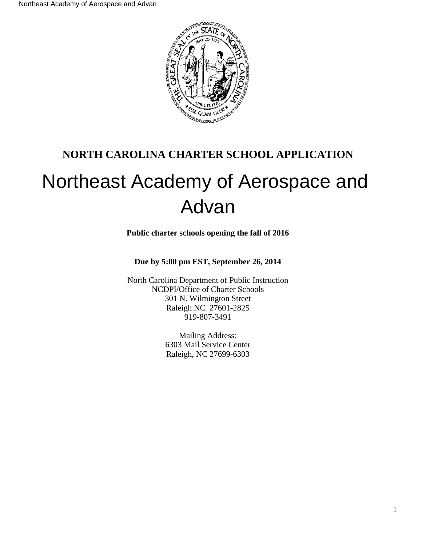

# **NORTH CAROLINA CHARTER SCHOOL APPLICATION**

# Northeast Academy of Aerospace and Advan

**Public charter schools opening the fall of 2016**

**Due by 5:00 pm EST, September 26, 2014**

North Carolina Department of Public Instruction NCDPI/Office of Charter Schools 301 N. Wilmington Street Raleigh NC 27601-2825 919-807-3491

> Mailing Address: 6303 Mail Service Center Raleigh, NC 27699-6303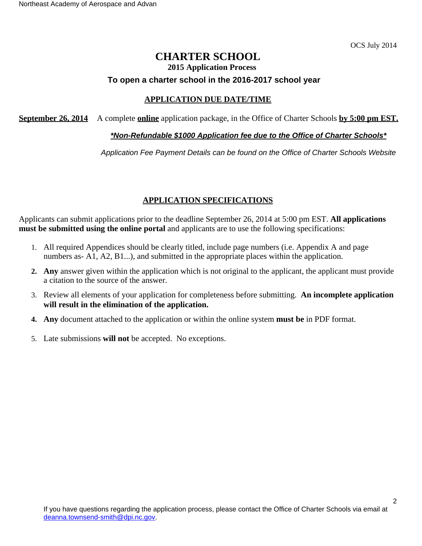OCS July 2014

# **CHARTER SCHOOL 2015 Application Process To open a charter school in the 2016-2017 school year**

## **APPLICATION DUE DATE/TIME**

**September 26, 2014** A complete **online** application package, in the Office of Charter Schools **by 5:00 pm EST.**

#### **\*Non-Refundable \$1000 Application fee due to the Office of Charter Schools\***

Application Fee Payment Details can be found on the Office of Charter Schools Website

## **APPLICATION SPECIFICATIONS**

Applicants can submit applications prior to the deadline September 26, 2014 at 5:00 pm EST. **All applications must be submitted using the online portal** and applicants are to use the following specifications:

- 1. All required Appendices should be clearly titled, include page numbers (i.e. Appendix A and page numbers as- A1, A2, B1...), and submitted in the appropriate places within the application.
- **2. Any** answer given within the application which is not original to the applicant, the applicant must provide a citation to the source of the answer.
- 3. Review all elements of your application for completeness before submitting. **An incomplete application will result in the elimination of the application.**
- **4. Any** document attached to the application or within the online system **must be** in PDF format.
- 5. Late submissions **will not** be accepted. No exceptions.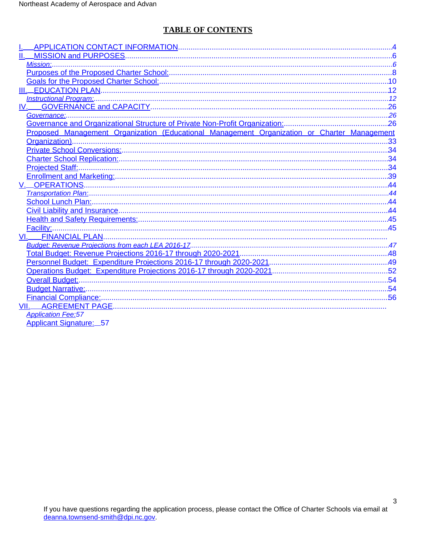# **TABLE OF CONTENTS**

| $IV$ .                                                                                      |  |
|---------------------------------------------------------------------------------------------|--|
|                                                                                             |  |
|                                                                                             |  |
| Proposed Management Organization (Educational Management Organization or Charter Management |  |
|                                                                                             |  |
|                                                                                             |  |
|                                                                                             |  |
|                                                                                             |  |
|                                                                                             |  |
|                                                                                             |  |
|                                                                                             |  |
|                                                                                             |  |
|                                                                                             |  |
|                                                                                             |  |
| Facility:.                                                                                  |  |
| VI.                                                                                         |  |
|                                                                                             |  |
|                                                                                             |  |
|                                                                                             |  |
|                                                                                             |  |
|                                                                                             |  |
|                                                                                             |  |
|                                                                                             |  |
|                                                                                             |  |
| <b>Application Fee:57</b>                                                                   |  |
| <b>Applicant Signature: 57</b>                                                              |  |

 $\mathbf{3}$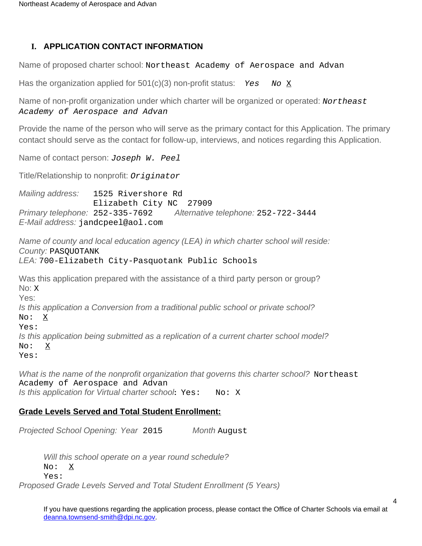# <span id="page-3-0"></span>**I. APPLICATION CONTACT INFORMATION**

Name of proposed charter school: Northeast Academy of Aerospace and Advan

Has the organization applied for  $501(c)(3)$  non-profit status: Yes No X

Name of non-profit organization under which charter will be organized or operated: Northeast Academy of Aerospace and Advan

Provide the name of the person who will serve as the primary contact for this Application. The primary contact should serve as the contact for follow-up, interviews, and notices regarding this Application.

Name of contact person: *Joseph W. Peel* 

Title/Relationship to nonprofit: Originator

Mailing address: 1525 Rivershore Rd Elizabeth City NC 27909 Primary telephone: 252-335-7692 Alternative telephone: 252-722-3444 E-Mail address: jandcpeel@aol.com

Name of county and local education agency (LEA) in which charter school will reside: County: PASQUOTANK LEA: 700-Elizabeth City-Pasquotank Public Schools

Was this application prepared with the assistance of a third party person or group? No: X Yes: Is this application a Conversion from a traditional public school or private school? No: X Yes: Is this application being submitted as a replication of a current charter school model? No: X Yes:

What is the name of the nonprofit organization that governs this charter school? Northeast Academy of Aerospace and Advan Is this application for Virtual charter school**:** Yes: No: X

# **Grade Levels Served and Total Student Enrollment:**

Projected School Opening: Year 2015 Month August

Will this school operate on a year round schedule? No: X Yes:

Proposed Grade Levels Served and Total Student Enrollment (5 Years)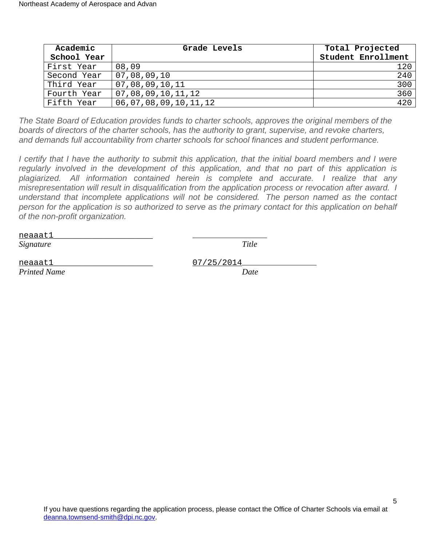| Academic    | Grade Levels         | Total Projected    |
|-------------|----------------------|--------------------|
| School Year |                      | Student Enrollment |
| First Year  | 08,09                | 120                |
| Second Year | 07,08,09,10          | 240                |
| Third Year  | 07,08,09,10,11       | 300                |
| Fourth Year | 07,08,09,10,11,12    | 360                |
| Fifth Year  | 06,07,08,09,10,11,12 | 420                |

The State Board of Education provides funds to charter schools, approves the original members of the boards of directors of the charter schools, has the authority to grant, supervise, and revoke charters, and demands full accountability from charter schools for school finances and student performance.

I certify that I have the authority to submit this application, that the initial board members and I were regularly involved in the development of this application, and that no part of this application is plagiarized. All information contained herein is complete and accurate. I realize that any misrepresentation will result in disqualification from the application process or revocation after award. I understand that incomplete applications will not be considered. The person named as the contact person for the application is so authorized to serve as the primary contact for this application on behalf of the non-profit organization.

neaaat1\_\_\_\_\_\_\_\_\_\_\_\_\_\_\_\_\_\_\_\_\_\_\_\_ *Signature Title*

neaaat1 07/25/2014 *Printed Name Date*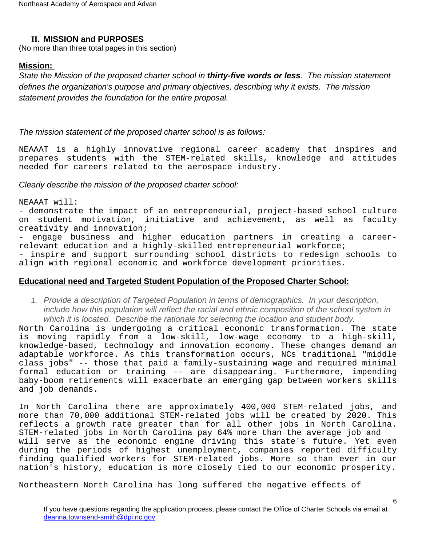## <span id="page-5-0"></span>**II. MISSION and PURPOSES**

(No more than three total pages in this section)

## <span id="page-5-1"></span>**Mission:**

State the Mission of the proposed charter school in **thirty-five words or less**. The mission statement defines the organization's purpose and primary objectives, describing why it exists. The mission statement provides the foundation for the entire proposal.

## The mission statement of the proposed charter school is as follows:

NEAAAT is a highly innovative regional career academy that inspires and prepares students with the STEM-related skills, knowledge and attitudes needed for careers related to the aerospace industry.

#### Clearly describe the mission of the proposed charter school:

NEAAAT will:

- demonstrate the impact of an entrepreneurial, project-based school culture on student motivation, initiative and achievement, as well as faculty creativity and innovation;

- engage business and higher education partners in creating a careerrelevant education and a highly-skilled entrepreneurial workforce;

- inspire and support surrounding school districts to redesign schools to align with regional economic and workforce development priorities.

# **Educational need and Targeted Student Population of the Proposed Charter School:**

1. Provide a description of Targeted Population in terms of demographics. In your description, include how this population will reflect the racial and ethnic composition of the school system in which it is located. Describe the rationale for selecting the location and student body.

North Carolina is undergoing a critical economic transformation. The state is moving rapidly from a low-skill, low-wage economy to a high-skill, knowledge-based, technology and innovation economy. These changes demand an adaptable workforce. As this transformation occurs, NCs traditional "middle class jobs" -- those that paid a family-sustaining wage and required minimal formal education or training -- are disappearing. Furthermore, impending baby-boom retirements will exacerbate an emerging gap between workers skills and job demands.

In North Carolina there are approximately 400,000 STEM-related jobs, and more than 70,000 additional STEM-related jobs will be created by 2020. This reflects a growth rate greater than for all other jobs in North Carolina. STEM-related jobs in North Carolina pay 64% more than the average job and will serve as the economic engine driving this state's future. Yet even during the periods of highest unemployment, companies reported difficulty finding qualified workers for STEM-related jobs. More so than ever in our nation's history, education is more closely tied to our economic prosperity.

Northeastern North Carolina has long suffered the negative effects of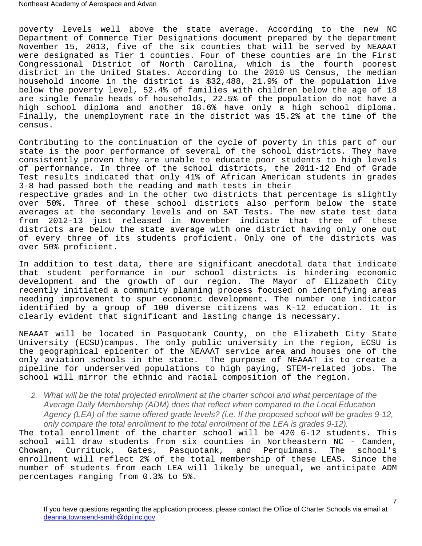poverty levels well above the state average. According to the new NC Department of Commerce Tier Designations document prepared by the department November 15, 2013, five of the six counties that will be served by NEAAAT were designated as Tier 1 counties. Four of these counties are in the First Congressional District of North Carolina, which is the fourth poorest district in the United States. According to the 2010 US Census, the median household income in the district is \$32,488, 21.9% of the population live below the poverty level, 52.4% of families with children below the age of 18 are single female heads of households, 22.5% of the population do not have a high school diploma and another 18.6% have only a high school diploma. Finally, the unemployment rate in the district was 15.2% at the time of the census.

Contributing to the continuation of the cycle of poverty in this part of our state is the poor performance of several of the school districts. They have consistently proven they are unable to educate poor students to high levels of performance. In three of the school districts, the 2011-12 End of Grade Test results indicated that only 41% of African American students in grades 3-8 had passed both the reading and math tests in their

respective grades and in the other two districts that percentage is slightly over 50%. Three of these school districts also perform below the state averages at the secondary levels and on SAT Tests. The new state test data from 2012-13 just released in November indicate that three of these districts are below the state average with one district having only one out of every three of its students proficient. Only one of the districts was over 50% proficient.

In addition to test data, there are significant anecdotal data that indicate that student performance in our school districts is hindering economic development and the growth of our region. The Mayor of Elizabeth City recently initiated a community planning process focused on identifying areas needing improvement to spur economic development. The number one indicator identified by a group of 100 diverse citizens was K-12 education. It is clearly evident that significant and lasting change is necessary.

NEAAAT will be located in Pasquotank County, on the Elizabeth City State University (ECSU)campus. The only public university in the region, ECSU is the geographical epicenter of the NEAAAT service area and houses one of the only aviation schools in the state. The purpose of NEAAAT is to create a pipeline for underserved populations to high paying, STEM-related jobs. The school will mirror the ethnic and racial composition of the region.

2. What will be the total projected enrollment at the charter school and what percentage of the Average Daily Membership (ADM) does that reflect when compared to the Local Education Agency (LEA) of the same offered grade levels? (i.e. If the proposed school will be grades 9-12, only compare the total enrollment to the total enrollment of the LEA is grades 9-12).

The total enrollment of the charter school will be 420 6-12 students. This school will draw students from six counties in Northeastern NC - Camden, Chowan, Currituck, Gates, Pasquotank, and Perquimans. The school's enrollment will reflect 2% of the total membership of these LEAS. Since the number of students from each LEA will likely be unequal, we anticipate ADM percentages ranging from 0.3% to 5%.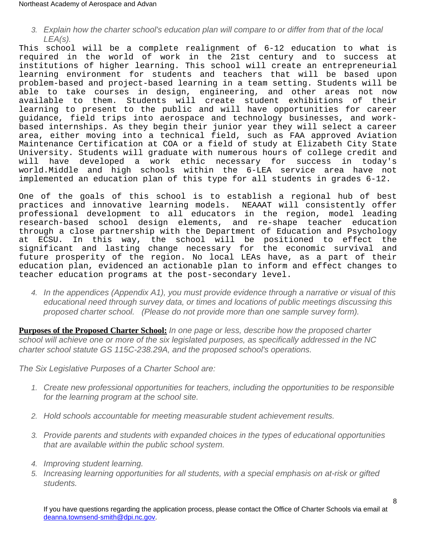3. Explain how the charter school's education plan will compare to or differ from that of the local  $LEA(s)$ .

This school will be a complete realignment of 6-12 education to what is required in the world of work in the 21st century and to success at institutions of higher learning. This school will create an entrepreneurial learning environment for students and teachers that will be based upon problem-based and project-based learning in a team setting. Students will be able to take courses in design, engineering, and other areas not now available to them. Students will create student exhibitions of their learning to present to the public and will have opportunities for career guidance, field trips into aerospace and technology businesses, and workbased internships. As they begin their junior year they will select a career area, either moving into a technical field, such as FAA approved Aviation Maintenance Certification at COA or a field of study at Elizabeth City State University. Students will graduate with numerous hours of college credit and will have developed a work ethic necessary for success in today's world.Middle and high schools within the 6-LEA service area have not implemented an education plan of this type for all students in grades 6-12.

One of the goals of this school is to establish a regional hub of best practices and innovative learning models. NEAAAT will consistently offer professional development to all educators in the region, model leading research-based school design elements, and re-shape teacher education through a close partnership with the Department of Education and Psychology at ECSU. In this way, the school will be positioned to effect the significant and lasting change necessary for the economic survival and future prosperity of the region. No local LEAs have, as a part of their education plan, evidenced an actionable plan to inform and effect changes to teacher education programs at the post-secondary level.

4. In the appendices (Appendix A1), you must provide evidence through a narrative or visual of this educational need through survey data, or times and locations of public meetings discussing this proposed charter school. (Please do not provide more than one sample survey form).

<span id="page-7-0"></span>**Purposes of the Proposed Charter School:** In one page or less, describe how the proposed charter school will achieve one or more of the six legislated purposes, as specifically addressed in the NC charter school statute GS 115C-238.29A, and the proposed school's operations.

The Six Legislative Purposes of a Charter School are:

- 1. Create new professional opportunities for teachers, including the opportunities to be responsible for the learning program at the school site.
- 2. Hold schools accountable for meeting measurable student achievement results.
- 3. Provide parents and students with expanded choices in the types of educational opportunities that are available within the public school system.
- 4. Improving student learning.
- 5. Increasing learning opportunities for all students, with a special emphasis on at-risk or gifted students.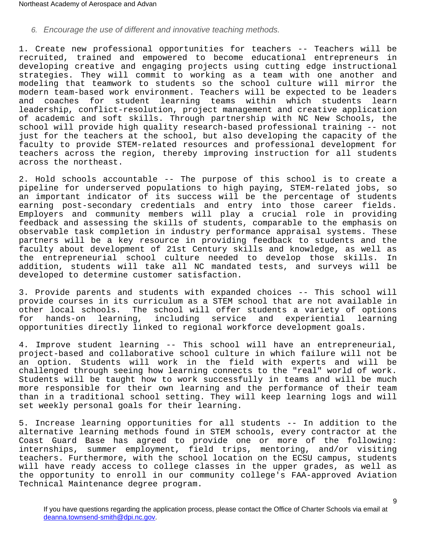# 6. Encourage the use of different and innovative teaching methods.

1. Create new professional opportunities for teachers -- Teachers will be recruited, trained and empowered to become educational entrepreneurs in developing creative and engaging projects using cutting edge instructional strategies. They will commit to working as a team with one another and modeling that teamwork to students so the school culture will mirror the modern team-based work environment. Teachers will be expected to be leaders and coaches for student learning teams within which students learn leadership, conflict-resolution, project management and creative application of academic and soft skills. Through partnership with NC New Schools, the school will provide high quality research-based professional training -- not just for the teachers at the school, but also developing the capacity of the faculty to provide STEM-related resources and professional development for teachers across the region, thereby improving instruction for all students across the northeast.

2. Hold schools accountable -- The purpose of this school is to create a pipeline for underserved populations to high paying, STEM-related jobs, so an important indicator of its success will be the percentage of students earning post-secondary credentials and entry into those career fields. Employers and community members will play a crucial role in providing feedback and assessing the skills of students, comparable to the emphasis on observable task completion in industry performance appraisal systems. These partners will be a key resource in providing feedback to students and the faculty about development of 21st Century skills and knowledge, as well as the entrepreneurial school culture needed to develop those skills. In addition, students will take all NC mandated tests, and surveys will be developed to determine customer satisfaction.

3. Provide parents and students with expanded choices -- This school will provide courses in its curriculum as a STEM school that are not available in other local schools. The school will offer students a variety of options hands-on learning, including service and experiential learning opportunities directly linked to regional workforce development goals.

4. Improve student learning -- This school will have an entrepreneurial, project-based and collaborative school culture in which failure will not be an option. Students will work in the field with experts and will be challenged through seeing how learning connects to the "real" world of work. Students will be taught how to work successfully in teams and will be much more responsible for their own learning and the performance of their team than in a traditional school setting. They will keep learning logs and will set weekly personal goals for their learning.

5. Increase learning opportunities for all students -- In addition to the alternative learning methods found in STEM schools, every contractor at the Coast Guard Base has agreed to provide one or more of the following: internships, summer employment, field trips, mentoring, and/or visiting teachers. Furthermore, with the school location on the ECSU campus, students will have ready access to college classes in the upper grades, as well as the opportunity to enroll in our community college's FAA-approved Aviation Technical Maintenance degree program.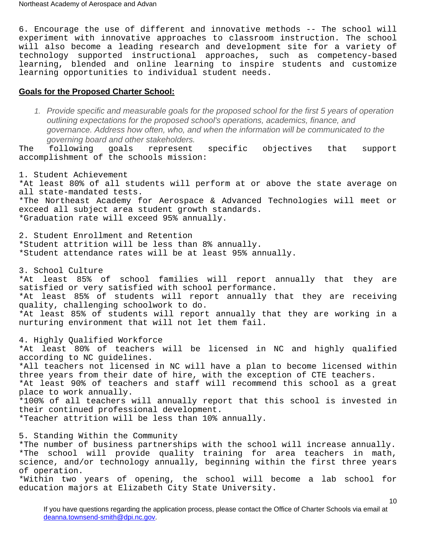6. Encourage the use of different and innovative methods -- The school will experiment with innovative approaches to classroom instruction. The school will also become a leading research and development site for a variety of technology supported instructional approaches, such as competency-based learning, blended and online learning to inspire students and customize learning opportunities to individual student needs.

#### <span id="page-9-0"></span>**Goals for the Proposed Charter School:**

1. Provide specific and measurable goals for the proposed school for the first 5 years of operation outlining expectations for the proposed school's operations, academics, finance, and governance. Address how often, who, and when the information will be communicated to the governing board and other stakeholders.

The following goals represent specific objectives that support accomplishment of the schools mission:

1. Student Achievement \*At least 80% of all students will perform at or above the state average on all state-mandated tests. \*The Northeast Academy for Aerospace & Advanced Technologies will meet or exceed all subject area student growth standards. \*Graduation rate will exceed 95% annually.

2. Student Enrollment and Retention \*Student attrition will be less than 8% annually. \*Student attendance rates will be at least 95% annually.

3. School Culture

\*At least 85% of school families will report annually that they are satisfied or very satisfied with school performance. \*At least 85% of students will report annually that they are receiving quality, challenging schoolwork to do. \*At least 85% of students will report annually that they are working in a nurturing environment that will not let them fail.

4. Highly Qualified Workforce \*At least 80% of teachers will be licensed in NC and highly qualified according to NC guidelines. \*All teachers not licensed in NC will have a plan to become licensed within three years from their date of hire, with the exception of CTE teachers. \*At least 90% of teachers and staff will recommend this school as a great place to work annually. \*100% of all teachers will annually report that this school is invested in their continued professional development. \*Teacher attrition will be less than 10% annually.

5. Standing Within the Community

\*The number of business partnerships with the school will increase annually. \*The school will provide quality training for area teachers in math, science, and/or technology annually, beginning within the first three years of operation.

\*Within two years of opening, the school will become a lab school for education majors at Elizabeth City State University.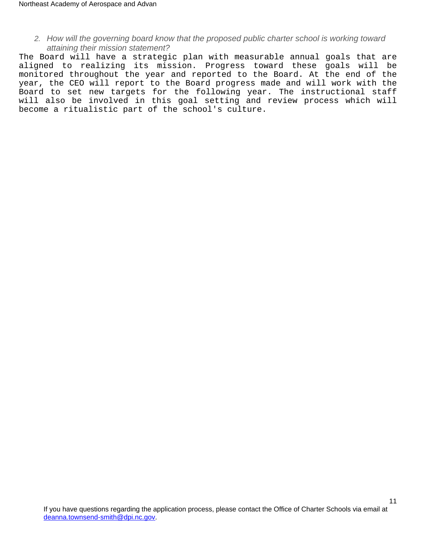2. How will the governing board know that the proposed public charter school is working toward attaining their mission statement?

The Board will have a strategic plan with measurable annual goals that are aligned to realizing its mission. Progress toward these goals will be monitored throughout the year and reported to the Board. At the end of the year, the CEO will report to the Board progress made and will work with the Board to set new targets for the following year. The instructional staff will also be involved in this goal setting and review process which will become a ritualistic part of the school's culture.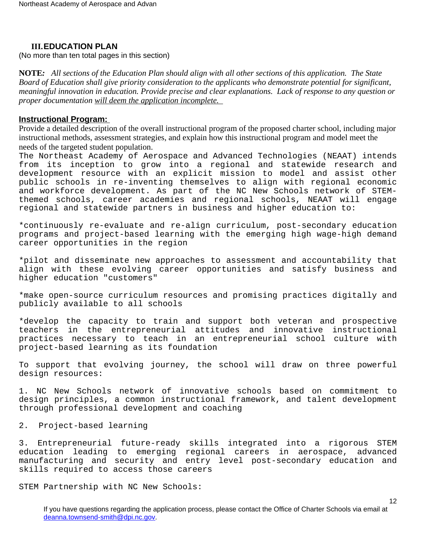#### <span id="page-11-0"></span>**III.EDUCATION PLAN**

(No more than ten total pages in this section)

**NOTE***: All sections of the Education Plan should align with all other sections of this application. The State Board of Education shall give priority consideration to the applicants who demonstrate potential for significant, meaningful innovation in education. Provide precise and clear explanations. Lack of response to any question or proper documentation will deem the application incomplete.* 

#### <span id="page-11-1"></span>**Instructional Program:**

Provide a detailed description of the overall instructional program of the proposed charter school, including major instructional methods, assessment strategies, and explain how this instructional program and model meet the needs of the targeted student population.

The Northeast Academy of Aerospace and Advanced Technologies (NEAAT) intends from its inception to grow into a regional and statewide research and development resource with an explicit mission to model and assist other public schools in re-inventing themselves to align with regional economic and workforce development. As part of the NC New Schools network of STEMthemed schools, career academies and regional schools, NEAAT will engage regional and statewide partners in business and higher education to:

\*continuously re-evaluate and re-align curriculum, post-secondary education programs and project-based learning with the emerging high wage-high demand career opportunities in the region

\*pilot and disseminate new approaches to assessment and accountability that align with these evolving career opportunities and satisfy business and higher education "customers"

\*make open-source curriculum resources and promising practices digitally and publicly available to all schools

\*develop the capacity to train and support both veteran and prospective teachers in the entrepreneurial attitudes and innovative instructional practices necessary to teach in an entrepreneurial school culture with project-based learning as its foundation

To support that evolving journey, the school will draw on three powerful design resources:

1. NC New Schools network of innovative schools based on commitment to design principles, a common instructional framework, and talent development through professional development and coaching

2. Project-based learning

3. Entrepreneurial future-ready skills integrated into a rigorous STEM education leading to emerging regional careers in aerospace, advanced manufacturing and security and entry level post-secondary education and skills required to access those careers

STEM Partnership with NC New Schools: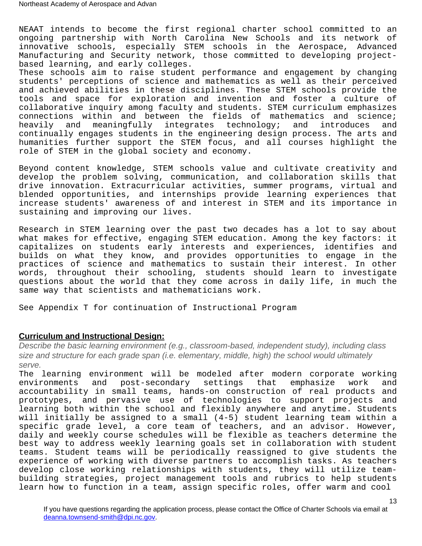NEAAT intends to become the first regional charter school committed to an ongoing partnership with North Carolina New Schools and its network of innovative schools, especially STEM schools in the Aerospace, Advanced Manufacturing and Security network, those committed to developing projectbased learning, and early colleges.

These schools aim to raise student performance and engagement by changing students' perceptions of science and mathematics as well as their perceived and achieved abilities in these disciplines. These STEM schools provide the tools and space for exploration and invention and foster a culture of collaborative inquiry among faculty and students. STEM curriculum emphasizes connections within and between the fields of mathematics and science; heavily and meaningfully integrates technology; and introduces and continually engages students in the engineering design process. The arts and humanities further support the STEM focus, and all courses highlight the role of STEM in the global society and economy.

Beyond content knowledge, STEM schools value and cultivate creativity and develop the problem solving, communication, and collaboration skills that drive innovation. Extracurricular activities, summer programs, virtual and blended opportunities, and internships provide learning experiences that increase students' awareness of and interest in STEM and its importance in sustaining and improving our lives.

Research in STEM learning over the past two decades has a lot to say about what makes for effective, engaging STEM education. Among the key factors: it capitalizes on students early interests and experiences, identifies and builds on what they know, and provides opportunities to engage in the practices of science and mathematics to sustain their interest. In other words, throughout their schooling, students should learn to investigate questions about the world that they come across in daily life, in much the same way that scientists and mathematicians work.

See Appendix T for continuation of Instructional Program

#### **Curriculum and Instructional Design:**

Describe the basic learning environment (e.g., classroom-based, independent study), including class size and structure for each grade span (i.e. elementary, middle, high) the school would ultimately serve.

The learning environment will be modeled after modern corporate working<br>environments and post-secondary settings that emphasize work and environments and post-secondary settings that emphasize work and accountability in small teams, hands-on construction of real products and prototypes, and pervasive use of technologies to support projects and learning both within the school and flexibly anywhere and anytime. Students will initially be assigned to a small (4-5) student learning team within a specific grade level, a core team of teachers, and an advisor. However, daily and weekly course schedules will be flexible as teachers determine the best way to address weekly learning goals set in collaboration with student teams. Student teams will be periodically reassigned to give students the experience of working with diverse partners to accomplish tasks. As teachers develop close working relationships with students, they will utilize teambuilding strategies, project management tools and rubrics to help students learn how to function in a team, assign specific roles, offer warm and cool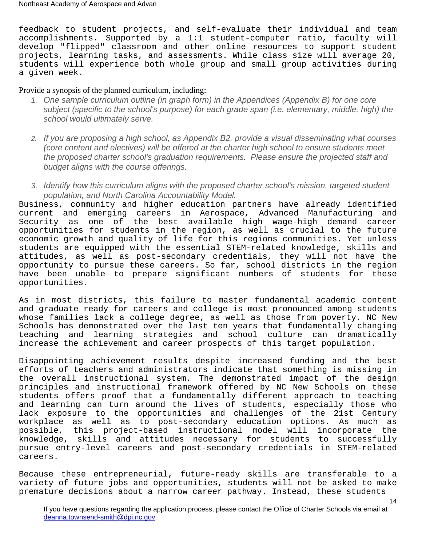feedback to student projects, and self-evaluate their individual and team accomplishments. Supported by a 1:1 student-computer ratio, faculty will develop "flipped" classroom and other online resources to support student projects, learning tasks, and assessments. While class size will average 20, students will experience both whole group and small group activities during a given week.

#### Provide a synopsis of the planned curriculum, including:

- 1. One sample curriculum outline (in graph form) in the Appendices (Appendix B) for one core subject (specific to the school's purpose) for each grade span (i.e. elementary, middle, high) the school would ultimately serve.
- 2. If you are proposing a high school, as Appendix B2, provide a visual disseminating what courses (core content and electives) will be offered at the charter high school to ensure students meet the proposed charter school's graduation requirements. Please ensure the projected staff and budget aligns with the course offerings.
- 3. Identify how this curriculum aligns with the proposed charter school's mission, targeted student population, and North Carolina Accountability Model.

Business, community and higher education partners have already identified current and emerging careers in Aerospace, Advanced Manufacturing and Security as one of the best available high wage-high demand career opportunities for students in the region, as well as crucial to the future economic growth and quality of life for this regions communities. Yet unless students are equipped with the essential STEM-related knowledge, skills and attitudes, as well as post-secondary credentials, they will not have the opportunity to pursue these careers. So far, school districts in the region have been unable to prepare significant numbers of students for these opportunities.

As in most districts, this failure to master fundamental academic content and graduate ready for careers and college is most pronounced among students whose families lack a college degree, as well as those from poverty. NC New Schools has demonstrated over the last ten years that fundamentally changing teaching and learning strategies and school culture can dramatically increase the achievement and career prospects of this target population.

Disappointing achievement results despite increased funding and the best efforts of teachers and administrators indicate that something is missing in the overall instructional system. The demonstrated impact of the design principles and instructional framework offered by NC New Schools on these students offers proof that a fundamentally different approach to teaching and learning can turn around the lives of students, especially those who lack exposure to the opportunities and challenges of the 21st Century workplace as well as to post-secondary education options. As much as possible, this project-based instructional model will incorporate the knowledge, skills and attitudes necessary for students to successfully pursue entry-level careers and post-secondary credentials in STEM-related careers.

Because these entrepreneurial, future-ready skills are transferable to a variety of future jobs and opportunities, students will not be asked to make premature decisions about a narrow career pathway. Instead, these students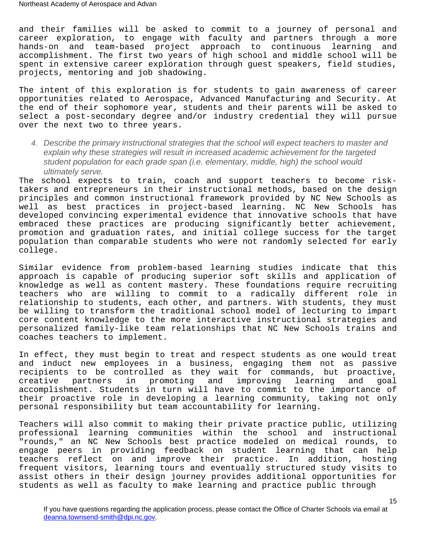and their families will be asked to commit to a journey of personal and career exploration, to engage with faculty and partners through a more hands-on and team-based project approach to continuous learning and accomplishment. The first two years of high school and middle school will be spent in extensive career exploration through guest speakers, field studies, projects, mentoring and job shadowing.

The intent of this exploration is for students to gain awareness of career opportunities related to Aerospace, Advanced Manufacturing and Security. At the end of their sophomore year, students and their parents will be asked to select a post-secondary degree and/or industry credential they will pursue over the next two to three years.

4. Describe the primary instructional strategies that the school will expect teachers to master and explain why these strategies will result in increased academic achievement for the targeted student population for each grade span (i.e. elementary, middle, high) the school would ultimately serve.

The school expects to train, coach and support teachers to become risktakers and entrepreneurs in their instructional methods, based on the design principles and common instructional framework provided by NC New Schools as well as best practices in project-based learning. NC New Schools has developed convincing experimental evidence that innovative schools that have embraced these practices are producing significantly better achievement, promotion and graduation rates, and initial college success for the target population than comparable students who were not randomly selected for early college.

Similar evidence from problem-based learning studies indicate that this approach is capable of producing superior soft skills and application of knowledge as well as content mastery. These foundations require recruiting teachers who are willing to commit to a radically different role in relationship to students, each other, and partners. With students, they must be willing to transform the traditional school model of lecturing to impart core content knowledge to the more interactive instructional strategies and personalized family-like team relationships that NC New Schools trains and coaches teachers to implement.

In effect, they must begin to treat and respect students as one would treat and induct new employees in a business, engaging them not as passive recipients to be controlled as they wait for commands, but proactive,<br>creative partners in promoting and improving learning and goal in promoting and improving learning and goal accomplishment. Students in turn will have to commit to the importance of their proactive role in developing a learning community, taking not only personal responsibility but team accountability for learning.

Teachers will also commit to making their private practice public, utilizing professional learning communities within the school and instructional "rounds," an NC New Schools best practice modeled on medical rounds, to engage peers in providing feedback on student learning that can help teachers reflect on and improve their practice. In addition, hosting frequent visitors, learning tours and eventually structured study visits to assist others in their design journey provides additional opportunities for students as well as faculty to make learning and practice public through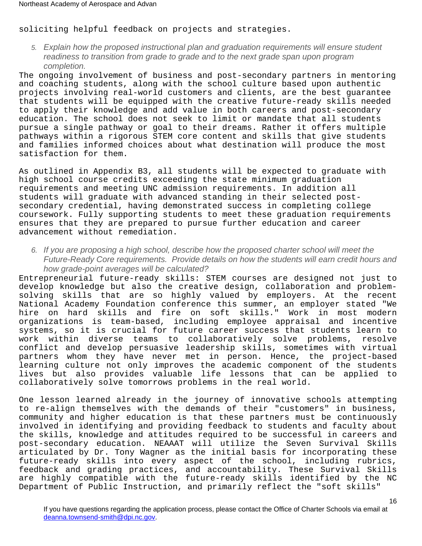soliciting helpful feedback on projects and strategies.

5. Explain how the proposed instructional plan and graduation requirements will ensure student readiness to transition from grade to grade and to the next grade span upon program completion.

The ongoing involvement of business and post-secondary partners in mentoring and coaching students, along with the school culture based upon authentic projects involving real-world customers and clients, are the best guarantee that students will be equipped with the creative future-ready skills needed to apply their knowledge and add value in both careers and post-secondary education. The school does not seek to limit or mandate that all students pursue a single pathway or goal to their dreams. Rather it offers multiple pathways within a rigorous STEM core content and skills that give students and families informed choices about what destination will produce the most satisfaction for them.

As outlined in Appendix B3, all students will be expected to graduate with high school course credits exceeding the state minimum graduation requirements and meeting UNC admission requirements. In addition all students will graduate with advanced standing in their selected postsecondary credential, having demonstrated success in completing college coursework. Fully supporting students to meet these graduation requirements ensures that they are prepared to pursue further education and career advancement without remediation.

6. If you are proposing a high school, describe how the proposed charter school will meet the Future-Ready Core requirements. Provide details on how the students will earn credit hours and how grade-point averages will be calculated?

Entrepreneurial future-ready skills: STEM courses are designed not just to develop knowledge but also the creative design, collaboration and problemsolving skills that are so highly valued by employers. At the recent National Academy Foundation conference this summer, an employer stated "We hire on hard skills and fire on soft skills." Work in most modern organizations is team-based, including employee appraisal and incentive systems, so it is crucial for future career success that students learn to work within diverse teams to collaboratively solve problems, resolve conflict and develop persuasive leadership skills, sometimes with virtual partners whom they have never met in person. Hence, the project-based learning culture not only improves the academic component of the students lives but also provides valuable life lessons that can be applied to collaboratively solve tomorrows problems in the real world.

One lesson learned already in the journey of innovative schools attempting to re-align themselves with the demands of their "customers" in business, community and higher education is that these partners must be continuously involved in identifying and providing feedback to students and faculty about the skills, knowledge and attitudes required to be successful in careers and post-secondary education. NEAAAT will utilize the Seven Survival Skills articulated by Dr. Tony Wagner as the initial basis for incorporating these future-ready skills into every aspect of the school, including rubrics, feedback and grading practices, and accountability. These Survival Skills are highly compatible with the future-ready skills identified by the NC Department of Public Instruction, and primarily reflect the "soft skills"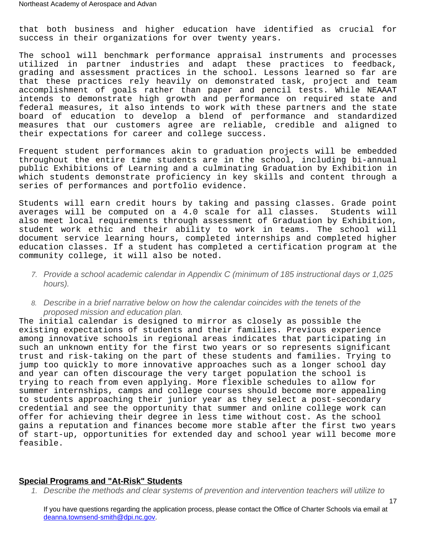that both business and higher education have identified as crucial for success in their organizations for over twenty years.

The school will benchmark performance appraisal instruments and processes utilized in partner industries and adapt these practices to feedback, grading and assessment practices in the school. Lessons learned so far are that these practices rely heavily on demonstrated task, project and team accomplishment of goals rather than paper and pencil tests. While NEAAAT intends to demonstrate high growth and performance on required state and federal measures, it also intends to work with these partners and the state board of education to develop a blend of performance and standardized measures that our customers agree are reliable, credible and aligned to their expectations for career and college success.

Frequent student performances akin to graduation projects will be embedded throughout the entire time students are in the school, including bi-annual public Exhibitions of Learning and a culminating Graduation by Exhibition in which students demonstrate proficiency in key skills and content through a series of performances and portfolio evidence.

Students will earn credit hours by taking and passing classes. Grade point averages will be computed on a 4.0 scale for all classes. Students will also meet local requirements through assessment of Graduation by Exhibition, student work ethic and their ability to work in teams. The school will document service learning hours, completed internships and completed higher education classes. If a student has completed a certification program at the community college, it will also be noted.

- 7. Provide a school academic calendar in Appendix C (minimum of 185 instructional days or 1,025 hours).
- 8. Describe in a brief narrative below on how the calendar coincides with the tenets of the proposed mission and education plan.

The initial calendar is designed to mirror as closely as possible the existing expectations of students and their families. Previous experience among innovative schools in regional areas indicates that participating in such an unknown entity for the first two years or so represents significant trust and risk-taking on the part of these students and families. Trying to jump too quickly to more innovative approaches such as a longer school day and year can often discourage the very target population the school is trying to reach from even applying. More flexible schedules to allow for summer internships, camps and college courses should become more appealing to students approaching their junior year as they select a post-secondary credential and see the opportunity that summer and online college work can offer for achieving their degree in less time without cost. As the school gains a reputation and finances become more stable after the first two years of start-up, opportunities for extended day and school year will become more feasible.

#### **Special Programs and "At-Risk" Students**

1. Describe the methods and clear systems of prevention and intervention teachers will utilize to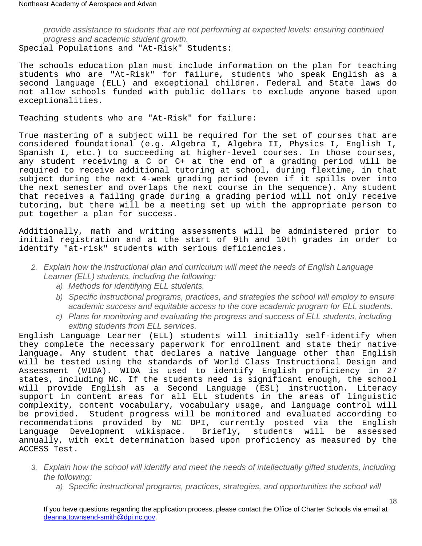provide assistance to students that are not performing at expected levels: ensuring continued progress and academic student growth. Special Populations and "At-Risk" Students:

The schools education plan must include information on the plan for teaching students who are "At-Risk" for failure, students who speak English as a second language (ELL) and exceptional children. Federal and State laws do not allow schools funded with public dollars to exclude anyone based upon exceptionalities.

Teaching students who are "At-Risk" for failure:

True mastering of a subject will be required for the set of courses that are considered foundational (e.g. Algebra I, Algebra II, Physics I, English I, Spanish I, etc.) to succeeding at higher-level courses. In those courses, any student receiving a C or C+ at the end of a grading period will be required to receive additional tutoring at school, during flextime, in that subject during the next 4-week grading period (even if it spills over into the next semester and overlaps the next course in the sequence). Any student that receives a failing grade during a grading period will not only receive tutoring, but there will be a meeting set up with the appropriate person to put together a plan for success.

Additionally, math and writing assessments will be administered prior to initial registration and at the start of 9th and 10th grades in order to identify "at-risk" students with serious deficiencies.

- 2. Explain how the instructional plan and curriculum will meet the needs of English Language Learner (ELL) students, including the following:
	- a) Methods for identifying ELL students.
	- b) Specific instructional programs, practices, and strategies the school will employ to ensure academic success and equitable access to the core academic program for ELL students.
	- c) Plans for monitoring and evaluating the progress and success of ELL students, including exiting students from ELL services.

English Language Learner (ELL) students will initially self-identify when they complete the necessary paperwork for enrollment and state their native language. Any student that declares a native language other than English will be tested using the standards of World Class Instructional Design and Assessment (WIDA). WIDA is used to identify English proficiency in 27 states, including NC. If the students need is significant enough, the school will provide English as a Second Language (ESL) instruction. Literacy support in content areas for all ELL students in the areas of linguistic complexity, content vocabulary, vocabulary usage, and language control will be provided. Student progress will be monitored and evaluated according to recommendations provided by NC DPI, currently posted via the English Language Development wikispace. Briefly, students will be assessed annually, with exit determination based upon proficiency as measured by the ACCESS Test.

- 3. Explain how the school will identify and meet the needs of intellectually gifted students, including the following:
	- a) Specific instructional programs, practices, strategies, and opportunities the school will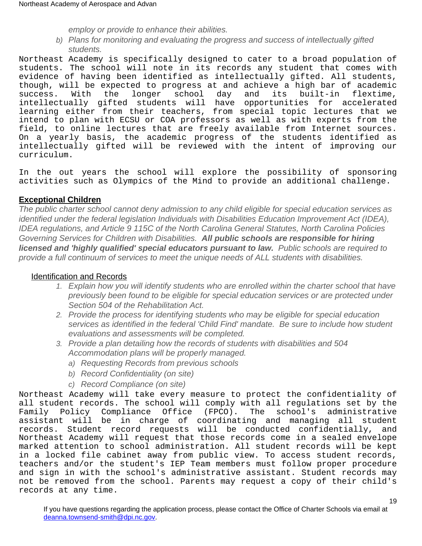employ or provide to enhance their abilities.

b) Plans for monitoring and evaluating the progress and success of intellectually gifted students.

Northeast Academy is specifically designed to cater to a broad population of students. The school will note in its records any student that comes with evidence of having been identified as intellectually gifted. All students, though, will be expected to progress at and achieve a high bar of academic success. With the longer school day and its built-in flextime, intellectually gifted students will have opportunities for accelerated learning either from their teachers, from special topic lectures that we intend to plan with ECSU or COA professors as well as with experts from the field, to online lectures that are freely available from Internet sources. On a yearly basis, the academic progress of the students identified as intellectually gifted will be reviewed with the intent of improving our curriculum.

In the out years the school will explore the possibility of sponsoring activities such as Olympics of the Mind to provide an additional challenge.

#### **Exceptional Children**

The public charter school cannot deny admission to any child eligible for special education services as identified under the federal legislation Individuals with Disabilities Education Improvement Act (IDEA), IDEA regulations, and Article 9 115C of the North Carolina General Statutes, North Carolina Policies Governing Services for Children with Disabilities. **All public schools are responsible for hiring licensed and 'highly qualified' special educators pursuant to law.** Public schools are required to provide a full continuum of services to meet the unique needs of ALL students with disabilities.

#### Identification and Records

- 1. Explain how you will identify students who are enrolled within the charter school that have previously been found to be eligible for special education services or are protected under Section 504 of the Rehabilitation Act.
- 2. Provide the process for identifying students who may be eligible for special education services as identified in the federal 'Child Find' mandate. Be sure to include how student evaluations and assessments will be completed.
- 3. Provide a plan detailing how the records of students with disabilities and 504 Accommodation plans will be properly managed.
	- a) Requesting Records from previous schools
	- b) Record Confidentiality (on site)
	- c) Record Compliance (on site)

Northeast Academy will take every measure to protect the confidentiality of all student records. The school will comply with all regulations set by the Family Policy Compliance Office (FPCO). The school's administrative assistant will be in charge of coordinating and managing all student records. Student record requests will be conducted confidentially, and Northeast Academy will request that those records come in a sealed envelope marked attention to school administration. All student records will be kept in a locked file cabinet away from public view. To access student records, teachers and/or the student's IEP Team members must follow proper procedure and sign in with the school's administrative assistant. Student records may not be removed from the school. Parents may request a copy of their child's records at any time.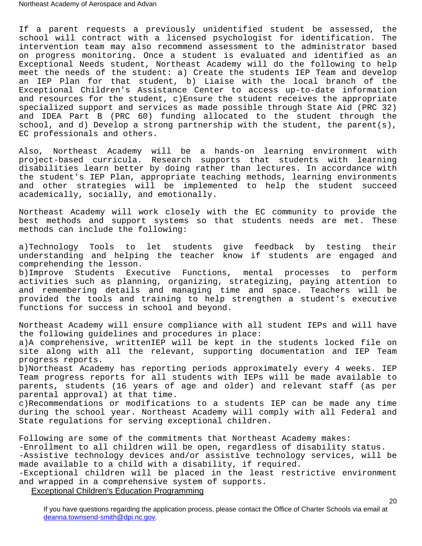If a parent requests a previously unidentified student be assessed, the school will contract with a licensed psychologist for identification. The intervention team may also recommend assessment to the administrator based on progress monitoring. Once a student is evaluated and identified as an Exceptional Needs student, Northeast Academy will do the following to help meet the needs of the student: a) Create the students IEP Team and develop an IEP Plan for that student, b) Liaise with the local branch of the Exceptional Children's Assistance Center to access up-to-date information and resources for the student, c)Ensure the student receives the appropriate specialized support and services as made possible through State Aid (PRC 32) and IDEA Part B (PRC 60) funding allocated to the student through the school, and d) Develop a strong partnership with the student, the parent(s), EC professionals and others.

Also, Northeast Academy will be a hands-on learning environment with project-based curricula. Research supports that students with learning disabilities learn better by doing rather than lectures. In accordance with the student's IEP Plan, appropriate teaching methods, learning environments and other strategies will be implemented to help the student succeed academically, socially, and emotionally.

Northeast Academy will work closely with the EC community to provide the best methods and support systems so that students needs are met. These methods can include the following:

a)Technology Tools to let students give feedback by testing their understanding and helping the teacher know if students are engaged and comprehending the lesson.

b)Improve Students Executive Functions, mental processes to perform activities such as planning, organizing, strategizing, paying attention to and remembering details and managing time and space. Teachers will be provided the tools and training to help strengthen a student's executive functions for success in school and beyond.

Northeast Academy will ensure compliance with all student IEPs and will have the following guidelines and procedures in place: a)A comprehensive, writtenIEP will be kept in the students locked file on site along with all the relevant, supporting documentation and IEP Team progress reports.

b)Northeast Academy has reporting periods approximately every 4 weeks. IEP Team progress reports for all students with IEPs will be made available to parents, students (16 years of age and older) and relevant staff (as per parental approval) at that time.

c)Recommendations or modifications to a students IEP can be made any time during the school year. Northeast Academy will comply with all Federal and State regulations for serving exceptional children.

Following are some of the commitments that Northeast Academy makes: -Enrollment to all children will be open, regardless of disability status. -Assistive technology devices and/or assistive technology services, will be made available to a child with a disability, if required. -Exceptional children will be placed in the least restrictive environment and wrapped in a comprehensive system of supports.

Exceptional Children's Education Programming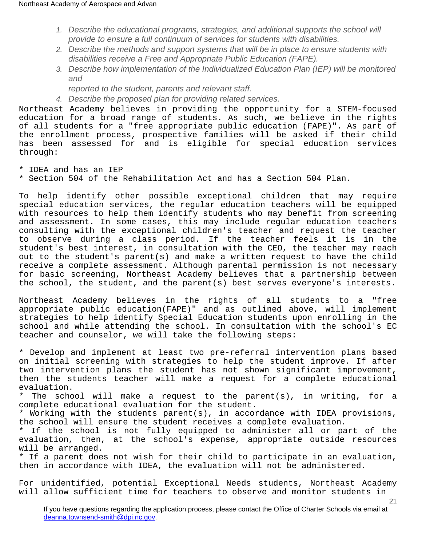- 1. Describe the educational programs, strategies, and additional supports the school will provide to ensure a full continuum of services for students with disabilities.
- 2. Describe the methods and support systems that will be in place to ensure students with disabilities receive a Free and Appropriate Public Education (FAPE).
- 3. Describe how implementation of the Individualized Education Plan (IEP) will be monitored and
	- reported to the student, parents and relevant staff.
- 4. Describe the proposed plan for providing related services.

Northeast Academy believes in providing the opportunity for a STEM-focused education for a broad range of students. As such, we believe in the rights of all students for a "free appropriate public education (FAPE)". As part of the enrollment process, prospective families will be asked if their child has been assessed for and is eligible for special education services through:

- \* IDEA and has an IEP
- \* Section 504 of the Rehabilitation Act and has a Section 504 Plan.

To help identify other possible exceptional children that may require special education services, the regular education teachers will be equipped with resources to help them identify students who may benefit from screening and assessment. In some cases, this may include regular education teachers consulting with the exceptional children's teacher and request the teacher to observe during a class period. If the teacher feels it is in the student's best interest, in consultation with the CEO, the teacher may reach out to the student's parent(s) and make a written request to have the child receive a complete assessment. Although parental permission is not necessary for basic screening, Northeast Academy believes that a partnership between the school, the student, and the parent(s) best serves everyone's interests.

Northeast Academy believes in the rights of all students to a "free appropriate public education(FAPE)" and as outlined above, will implement strategies to help identify Special Education students upon enrolling in the school and while attending the school. In consultation with the school's EC teacher and counselor, we will take the following steps:

\* Develop and implement at least two pre-referral intervention plans based on initial screening with strategies to help the student improve. If after two intervention plans the student has not shown significant improvement, then the students teacher will make a request for a complete educational evaluation.

\* The school will make a request to the parent(s), in writing, for a complete educational evaluation for the student.

\* Working with the students parent(s), in accordance with IDEA provisions, the school will ensure the student receives a complete evaluation.

\* If the school is not fully equipped to administer all or part of the evaluation, then, at the school's expense, appropriate outside resources will be arranged.

\* If a parent does not wish for their child to participate in an evaluation, then in accordance with IDEA, the evaluation will not be administered.

For unidentified, potential Exceptional Needs students, Northeast Academy will allow sufficient time for teachers to observe and monitor students in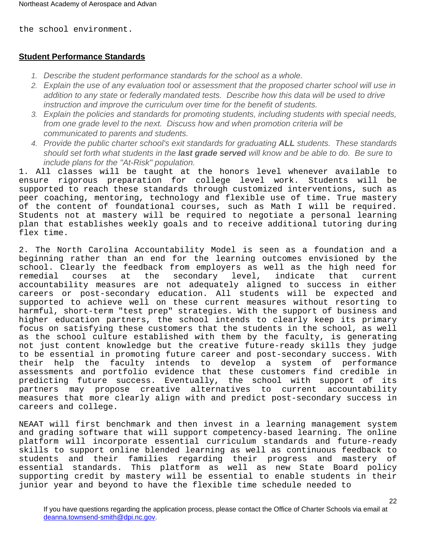the school environment.

## **Student Performance Standards**

- 1. Describe the student performance standards for the school as a whole.
- 2. Explain the use of any evaluation tool or assessment that the proposed charter school will use in addition to any state or federally mandated tests. Describe how this data will be used to drive instruction and improve the curriculum over time for the benefit of students.
- 3. Explain the policies and standards for promoting students, including students with special needs, from one grade level to the next. Discuss how and when promotion criteria will be communicated to parents and students.
- 4. Provide the public charter school's exit standards for graduating **ALL** students. These standards should set forth what students in the **last grade served** will know and be able to do. Be sure to include plans for the "At-Risk" population.

1. All classes will be taught at the honors level whenever available to ensure rigorous preparation for college level work. Students will be supported to reach these standards through customized interventions, such as peer coaching, mentoring, technology and flexible use of time. True mastery of the content of foundational courses, such as Math I will be required. Students not at mastery will be required to negotiate a personal learning plan that establishes weekly goals and to receive additional tutoring during flex time.

2. The North Carolina Accountability Model is seen as a foundation and a beginning rather than an end for the learning outcomes envisioned by the school. Clearly the feedback from employers as well as the high need for remedial courses at the secondary level, indicate that current accountability measures are not adequately aligned to success in either careers or post-secondary education. All students will be expected and supported to achieve well on these current measures without resorting to harmful, short-term "test prep" strategies. With the support of business and higher education partners, the school intends to clearly keep its primary focus on satisfying these customers that the students in the school, as well as the school culture established with them by the faculty, is generating not just content knowledge but the creative future-ready skills they judge to be essential in promoting future career and post-secondary success. With their help the faculty intends to develop a system of performance assessments and portfolio evidence that these customers find credible in predicting future success. Eventually, the school with support of its partners may propose creative alternatives to current accountability measures that more clearly align with and predict post-secondary success in careers and college.

NEAAT will first benchmark and then invest in a learning management system and grading software that will support competency-based learning. The online platform will incorporate essential curriculum standards and future-ready skills to support online blended learning as well as continuous feedback to students and their families regarding their progress and mastery of essential standards. This platform as well as new State Board policy supporting credit by mastery will be essential to enable students in their junior year and beyond to have the flexible time schedule needed to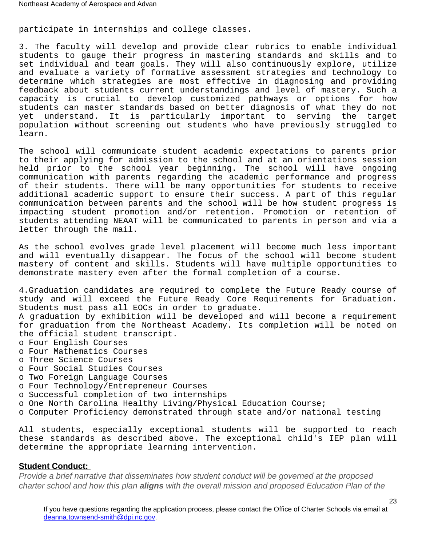participate in internships and college classes.

3. The faculty will develop and provide clear rubrics to enable individual students to gauge their progress in mastering standards and skills and to set individual and team goals. They will also continuously explore, utilize and evaluate a variety of formative assessment strategies and technology to determine which strategies are most effective in diagnosing and providing feedback about students current understandings and level of mastery. Such a capacity is crucial to develop customized pathways or options for how students can master standards based on better diagnosis of what they do not yet understand. It is particularly important to serving the target population without screening out students who have previously struggled to learn.

The school will communicate student academic expectations to parents prior to their applying for admission to the school and at an orientations session held prior to the school year beginning. The school will have ongoing communication with parents regarding the academic performance and progress of their students. There will be many opportunities for students to receive additional academic support to ensure their success. A part of this regular communication between parents and the school will be how student progress is impacting student promotion and/or retention. Promotion or retention of students attending NEAAT will be communicated to parents in person and via a letter through the mail.

As the school evolves grade level placement will become much less important and will eventually disappear. The focus of the school will become student mastery of content and skills. Students will have multiple opportunities to demonstrate mastery even after the formal completion of a course.

4.Graduation candidates are required to complete the Future Ready course of study and will exceed the Future Ready Core Requirements for Graduation. Students must pass all EOCs in order to graduate.

A graduation by exhibition will be developed and will become a requirement for graduation from the Northeast Academy. Its completion will be noted on the official student transcript.

- o Four English Courses
- o Four Mathematics Courses
- o Three Science Courses
- o Four Social Studies Courses
- o Two Foreign Language Courses
- o Four Technology/Entrepreneur Courses
- o Successful completion of two internships
- o One North Carolina Healthy Living/Physical Education Course;
- o Computer Proficiency demonstrated through state and/or national testing

All students, especially exceptional students will be supported to reach these standards as described above. The exceptional child's IEP plan will determine the appropriate learning intervention.

#### **Student Conduct:**

Provide a brief narrative that disseminates how student conduct will be governed at the proposed charter school and how this plan **aligns** with the overall mission and proposed Education Plan of the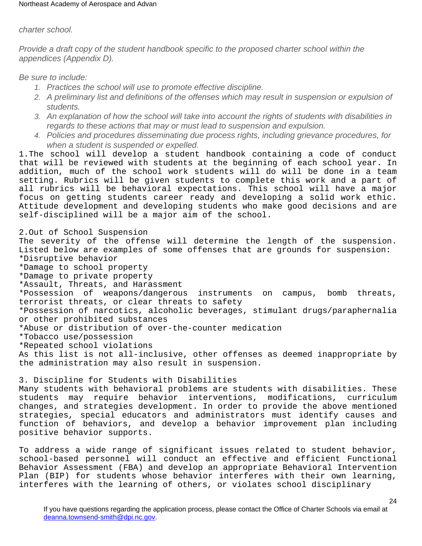#### charter school.

Provide a draft copy of the student handbook specific to the proposed charter school within the appendices (Appendix D).

Be sure to include:

- 1. Practices the school will use to promote effective discipline.
- 2. A preliminary list and definitions of the offenses which may result in suspension or expulsion of students.
- 3. An explanation of how the school will take into account the rights of students with disabilities in regards to these actions that may or must lead to suspension and expulsion.
- 4. Policies and procedures disseminating due process rights, including grievance procedures, for when a student is suspended or expelled.

1.The school will develop a student handbook containing a code of conduct that will be reviewed with students at the beginning of each school year. In addition, much of the school work students will do will be done in a team setting. Rubrics will be given students to complete this work and a part of all rubrics will be behavioral expectations. This school will have a major focus on getting students career ready and developing a solid work ethic. Attitude development and developing students who make good decisions and are self-disciplined will be a major aim of the school.

2.Out of School Suspension The severity of the offense will determine the length of the suspension. Listed below are examples of some offenses that are grounds for suspension: \*Disruptive behavior \*Damage to school property \*Damage to private property \*Assault, Threats, and Harassment \*Possession of weapons/dangerous instruments on campus, bomb threats, terrorist threats, or clear threats to safety \*Possession of narcotics, alcoholic beverages, stimulant drugs/paraphernalia or other prohibited substances \*Abuse or distribution of over-the-counter medication \*Tobacco use/possession \*Repeated school violations As this list is not all-inclusive, other offenses as deemed inappropriate by the administration may also result in suspension.

3. Discipline for Students with Disabilities Many students with behavioral problems are students with disabilities. These students may require behavior interventions, modifications, curriculum changes, and strategies development. In order to provide the above mentioned strategies, special educators and administrators must identify causes and function of behaviors, and develop a behavior improvement plan including positive behavior supports.

To address a wide range of significant issues related to student behavior, school-based personnel will conduct an effective and efficient Functional Behavior Assessment (FBA) and develop an appropriate Behavioral Intervention Plan (BIP) for students whose behavior interferes with their own learning, interferes with the learning of others, or violates school disciplinary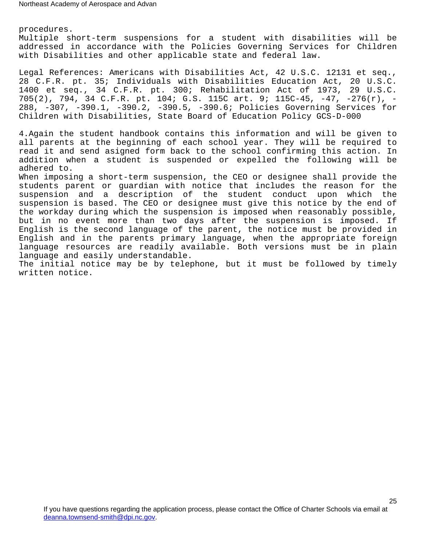procedures.

Multiple short-term suspensions for a student with disabilities will be addressed in accordance with the Policies Governing Services for Children with Disabilities and other applicable state and federal law.

Legal References: Americans with Disabilities Act, 42 U.S.C. 12131 et seq., 28 C.F.R. pt. 35; Individuals with Disabilities Education Act, 20 U.S.C. 1400 et seq., 34 C.F.R. pt. 300; Rehabilitation Act of 1973, 29 U.S.C. 705(2), 794, 34 C.F.R. pt. 104; G.S. 115C art. 9; 115C-45, -47, -276(r), - 288, -307, -390.1, -390.2, -390.5, -390.6; Policies Governing Services for Children with Disabilities, State Board of Education Policy GCS-D-000

4.Again the student handbook contains this information and will be given to all parents at the beginning of each school year. They will be required to read it and send asigned form back to the school confirming this action. In addition when a student is suspended or expelled the following will be adhered to.

When imposing a short-term suspension, the CEO or designee shall provide the students parent or guardian with notice that includes the reason for the suspension and a description of the student conduct upon which the suspension is based. The CEO or designee must give this notice by the end of the workday during which the suspension is imposed when reasonably possible, but in no event more than two days after the suspension is imposed. If English is the second language of the parent, the notice must be provided in English and in the parents primary language, when the appropriate foreign language resources are readily available. Both versions must be in plain language and easily understandable.

The initial notice may be by telephone, but it must be followed by timely written notice.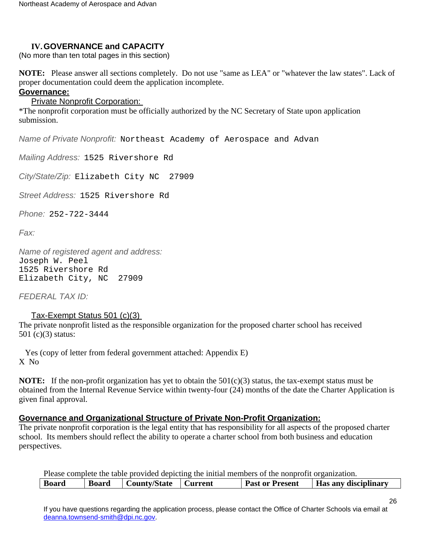# <span id="page-25-0"></span>**IV.GOVERNANCE and CAPACITY**

(No more than ten total pages in this section)

**NOTE:** Please answer all sections completely. Do not use "same as LEA" or "whatever the law states". Lack of proper documentation could deem the application incomplete.

# <span id="page-25-1"></span>**Governance:**

**Private Nonprofit Corporation:** 

\*The nonprofit corporation must be officially authorized by the NC Secretary of State upon application submission.

Name of Private Nonprofit: Northeast Academy of Aerospace and Advan

Mailing Address: 1525 Rivershore Rd

City/State/Zip: Elizabeth City NC 27909

Street Address: 1525 Rivershore Rd

Phone: 252-722-3444

Fax:

Name of registered agent and address: Joseph W. Peel 1525 Rivershore Rd Elizabeth City, NC 27909

FEDERAL TAX ID:

## Tax-Exempt Status 501 (c)(3)

The private nonprofit listed as the responsible organization for the proposed charter school has received 501 (c)(3) status:

 Yes (copy of letter from federal government attached: Appendix E) X No

**NOTE:** If the non-profit organization has yet to obtain the  $501(c)(3)$  status, the tax-exempt status must be obtained from the Internal Revenue Service within twenty-four (24) months of the date the Charter Application is given final approval.

## <span id="page-25-2"></span>**Governance and Organizational Structure of Private Non-Profit Organization:**

The private nonprofit corporation is the legal entity that has responsibility for all aspects of the proposed charter school. Its members should reflect the ability to operate a charter school from both business and education perspectives.

|              |              |                        | Please complete the table provided depicting the initial members of the nonprofit organization. |                             |
|--------------|--------------|------------------------|-------------------------------------------------------------------------------------------------|-----------------------------|
| <b>Board</b> | <b>Board</b> | County/State   Current | <b>Past or Present</b>                                                                          | <b>Has any disciplinary</b> |

If you have questions regarding the application process, please contact the Office of Charter Schools via email at [deanna.townsend-smith@dpi.nc.gov](mailto:officeofcharterschools@dpi.nc.gov).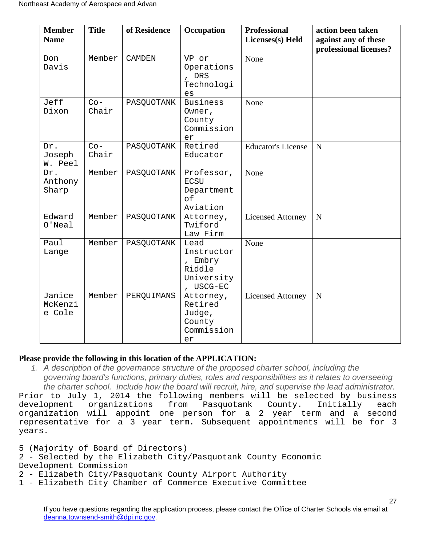| <b>Member</b><br><b>Name</b> | <b>Title</b>   | of Residence  | Occupation                                                         | <b>Professional</b><br>Licenses(s) Held | action been taken<br>against any of these<br>professional licenses? |
|------------------------------|----------------|---------------|--------------------------------------------------------------------|-----------------------------------------|---------------------------------------------------------------------|
| Don<br>Davis                 | Member         | <b>CAMDEN</b> | VP or<br>Operations<br>, DRS<br>Technologi<br>es                   | None                                    |                                                                     |
| Jeff<br>Dixon                | $Co-$<br>Chair | PASQUOTANK    | <b>Business</b><br>Owner,<br>County<br>Commission<br>er            | None                                    |                                                                     |
| Dr.<br>Joseph<br>W. Peel     | $Co-$<br>Chair | PASQUOTANK    | Retired<br>Educator                                                | <b>Educator's License</b>               | N                                                                   |
| Dr.<br>Anthony<br>Sharp      | Member         | PASQUOTANK    | Professor,<br><b>ECSU</b><br>Department<br>of<br>Aviation          | None                                    |                                                                     |
| Edward<br>$O'$ Neal          | Member         | PASQUOTANK    | Attorney,<br>Twiford<br>Law Firm                                   | <b>Licensed Attorney</b>                | $\overline{N}$                                                      |
| Paul<br>Lange                | Member         | PASQUOTANK    | Lead<br>Instructor<br>, Embry<br>Riddle<br>University<br>, USCG-EC | None                                    |                                                                     |
| Janice<br>McKenzi<br>e Cole  | Member         | PERQUIMANS    | Attorney,<br>Retired<br>Judge,<br>County<br>Commission<br>er       | <b>Licensed Attorney</b>                | $\mathbf N$                                                         |

## **Please provide the following in this location of the APPLICATION:**

1. A description of the governance structure of the proposed charter school, including the governing board's functions, primary duties, roles and responsibilities as it relates to overseeing the charter school. Include how the board will recruit, hire, and supervise the lead administrator.

Prior to July 1, 2014 the following members will be selected by business development organizations from Pasquotank County. Initially each organization will appoint one person for a 2 year term and a second representative for a 3 year term. Subsequent appointments will be for 3 years.

5 (Majority of Board of Directors)

2 - Selected by the Elizabeth City/Pasquotank County Economic Development Commission

2 - Elizabeth City/Pasquotank County Airport Authority

1 - Elizabeth City Chamber of Commerce Executive Committee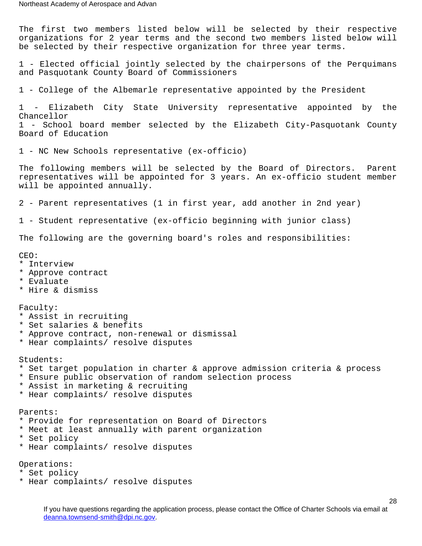The first two members listed below will be selected by their respective organizations for 2 year terms and the second two members listed below will be selected by their respective organization for three year terms. 1 - Elected official jointly selected by the chairpersons of the Perquimans and Pasquotank County Board of Commissioners 1 - College of the Albemarle representative appointed by the President 1 - Elizabeth City State University representative appointed by the Chancellor 1 - School board member selected by the Elizabeth City-Pasquotank County Board of Education 1 - NC New Schools representative (ex-officio) The following members will be selected by the Board of Directors. Parent representatives will be appointed for 3 years. An ex-officio student member will be appointed annually. 2 - Parent representatives (1 in first year, add another in 2nd year) 1 - Student representative (ex-officio beginning with junior class) The following are the governing board's roles and responsibilities: CEO: \* Interview \* Approve contract \* Evaluate \* Hire & dismiss Faculty: \* Assist in recruiting \* Set salaries & benefits \* Approve contract, non-renewal or dismissal \* Hear complaints/ resolve disputes Students: \* Set target population in charter & approve admission criteria & process \* Ensure public observation of random selection process \* Assist in marketing & recruiting \* Hear complaints/ resolve disputes Parents: \* Provide for representation on Board of Directors \* Meet at least annually with parent organization \* Set policy \* Hear complaints/ resolve disputes Operations: \* Set policy

\* Hear complaints/ resolve disputes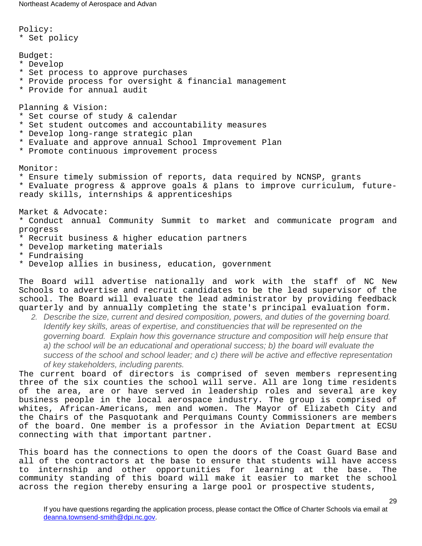Policy: \* Set policy Budget: \* Develop \* Set process to approve purchases \* Provide process for oversight & financial management \* Provide for annual audit Planning & Vision: \* Set course of study & calendar \* Set student outcomes and accountability measures \* Develop long-range strategic plan \* Evaluate and approve annual School Improvement Plan \* Promote continuous improvement process Monitor: \* Ensure timely submission of reports, data required by NCNSP, grants \* Evaluate progress & approve goals & plans to improve curriculum, futureready skills, internships & apprenticeships Market & Advocate: \* Conduct annual Community Summit to market and communicate program and progress \* Recruit business & higher education partners \* Develop marketing materials \* Fundraising \* Develop allies in business, education, government

The Board will advertise nationally and work with the staff of NC New Schools to advertise and recruit candidates to be the lead supervisor of the school. The Board will evaluate the lead administrator by providing feedback quarterly and by annually completing the state's principal evaluation form.

2. Describe the size, current and desired composition, powers, and duties of the governing board. Identify key skills, areas of expertise, and constituencies that will be represented on the governing board. Explain how this governance structure and composition will help ensure that a) the school will be an educational and operational success; b) the board will evaluate the success of the school and school leader; and c) there will be active and effective representation of key stakeholders, including parents.

The current board of directors is comprised of seven members representing three of the six counties the school will serve. All are long time residents of the area, are or have served in leadership roles and several are key business people in the local aerospace industry. The group is comprised of whites, African-Americans, men and women. The Mayor of Elizabeth City and the Chairs of the Pasquotank and Perquimans County Commissioners are members of the board. One member is a professor in the Aviation Department at ECSU connecting with that important partner.

This board has the connections to open the doors of the Coast Guard Base and all of the contractors at the base to ensure that students will have access to internship and other opportunities for learning at the base. The community standing of this board will make it easier to market the school across the region thereby ensuring a large pool or prospective students,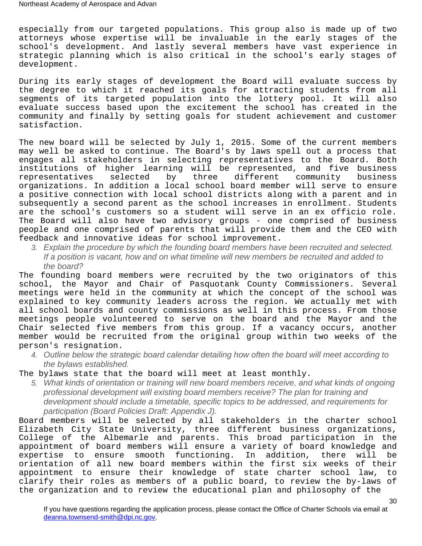especially from our targeted populations. This group also is made up of two attorneys whose expertise will be invaluable in the early stages of the school's development. And lastly several members have vast experience in strategic planning which is also critical in the school's early stages of development.

During its early stages of development the Board will evaluate success by the degree to which it reached its goals for attracting students from all segments of its targeted population into the lottery pool. It will also evaluate success based upon the excitement the school has created in the community and finally by setting goals for student achievement and customer satisfaction.

The new board will be selected by July 1, 2015. Some of the current members may well be asked to continue. The Board's by laws spell out a process that engages all stakeholders in selecting representatives to the Board. Both institutions of higher learning will be represented, and five business representatives selected by three different community business organizations. In addition a local school board member will serve to ensure a positive connection with local school districts along with a parent and in subsequently a second parent as the school increases in enrollment. Students are the school's customers so a student will serve in an ex officio role. The Board will also have two advisory groups - one comprised of business people and one comprised of parents that will provide them and the CEO with feedback and innovative ideas for school improvement.

3. Explain the procedure by which the founding board members have been recruited and selected. If a position is vacant, how and on what timeline will new members be recruited and added to the board?

The founding board members were recruited by the two originators of this school, the Mayor and Chair of Pasquotank County Commissioners. Several meetings were held in the community at which the concept of the school was explained to key community leaders across the region. We actually met with all school boards and county commissions as well in this process. From those meetings people volunteered to serve on the board and the Mayor and the Chair selected five members from this group. If a vacancy occurs, another member would be recruited from the original group within two weeks of the person's resignation.

4. Outline below the strategic board calendar detailing how often the board will meet according to the bylaws established.

The bylaws state that the board will meet at least monthly.

5. What kinds of orientation or training will new board members receive, and what kinds of ongoing professional development will existing board members receive? The plan for training and development should include a timetable, specific topics to be addressed, and requirements for participation (Board Policies Draft: Appendix J).

Board members will be selected by all stakeholders in the charter school Elizabeth City State University, three different business organizations, College of the Albemarle and parents. This broad participation in the appointment of board members will ensure a variety of board knowledge and expertise to ensure smooth functioning. In addition, there will be orientation of all new board members within the first six weeks of their appointment to ensure their knowledge of state charter school law, to clarify their roles as members of a public board, to review the by-laws of the organization and to review the educational plan and philosophy of the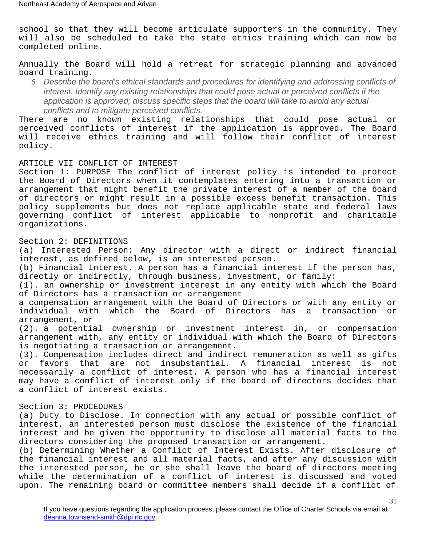school so that they will become articulate supporters in the community. They will also be scheduled to take the state ethics training which can now be completed online.

Annually the Board will hold a retreat for strategic planning and advanced board training.

6. Describe the board's ethical standards and procedures for identifying and addressing conflicts of interest. Identify any existing relationships that could pose actual or perceived conflicts if the application is approved; discuss specific steps that the board will take to avoid any actual conflicts and to mitigate perceived conflicts.

There are no known existing relationships that could pose actual or perceived conflicts of interest if the application is approved. The Board will receive ethics training and will follow their conflict of interest policy.

ARTICLE VII CONFLICT OF INTEREST

Section 1: PURPOSE The conflict of interest policy is intended to protect the Board of Directors when it contemplates entering into a transaction or arrangement that might benefit the private interest of a member of the board of directors or might result in a possible excess benefit transaction. This policy supplements but does not replace applicable state and federal laws governing conflict of interest applicable to nonprofit and charitable organizations.

#### Section 2: DEFINITIONS

(a) Interested Person: Any director with a direct or indirect financial interest, as defined below, is an interested person.

(b) Financial Interest. A person has a financial interest if the person has, directly or indirectly, through business, investment, or family:

(1). an ownership or investment interest in any entity with which the Board of Directors has a transaction or arrangement

a compensation arrangement with the Board of Directors or with any entity or individual with which the Board of Directors has a transaction or arrangement, or

(2). a potential ownership or investment interest in, or compensation arrangement with, any entity or individual with which the Board of Directors is negotiating a transaction or arrangement.

(3). Compensation includes direct and indirect remuneration as well as gifts or favors that are not insubstantial. A financial interest is not necessarily a conflict of interest. A person who has a financial interest may have a conflict of interest only if the board of directors decides that a conflict of interest exists.

#### Section 3: PROCEDURES

(a) Duty to Disclose. In connection with any actual or possible conflict of interest, an interested person must disclose the existence of the financial interest and be given the opportunity to disclose all material facts to the directors considering the proposed transaction or arrangement.

(b) Determining Whether a Conflict of Interest Exists. After disclosure of the financial interest and all material facts, and after any discussion with the interested person, he or she shall leave the board of directors meeting while the determination of a conflict of interest is discussed and voted upon. The remaining board or committee members shall decide if a conflict of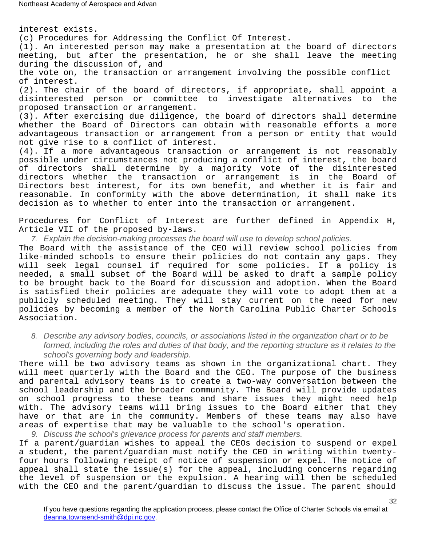interest exists. (c) Procedures for Addressing the Conflict Of Interest. (1). An interested person may make a presentation at the board of directors meeting, but after the presentation, he or she shall leave the meeting during the discussion of, and the vote on, the transaction or arrangement involving the possible conflict of interest. (2). The chair of the board of directors, if appropriate, shall appoint a disinterested person or committee to investigate alternatives to the proposed transaction or arrangement. (3). After exercising due diligence, the board of directors shall determine whether the Board of Directors can obtain with reasonable efforts a more advantageous transaction or arrangement from a person or entity that would not give rise to a conflict of interest. (4). If a more advantageous transaction or arrangement is not reasonably possible under circumstances not producing a conflict of interest, the board of directors shall determine by a majority vote of the disinterested

directors whether the transaction or arrangement is in the Board of Directors best interest, for its own benefit, and whether it is fair and reasonable. In conformity with the above determination, it shall make its decision as to whether to enter into the transaction or arrangement.

Procedures for Conflict of Interest are further defined in Appendix H, Article VII of the proposed by-laws.

7. Explain the decision-making processes the board will use to develop school policies.

The Board with the assistance of the CEO will review school policies from like-minded schools to ensure their policies do not contain any gaps. They will seek legal counsel if required for some policies. If a policy is needed, a small subset of the Board will be asked to draft a sample policy to be brought back to the Board for discussion and adoption. When the Board is satisfied their policies are adequate they will vote to adopt them at a publicly scheduled meeting. They will stay current on the need for new policies by becoming a member of the North Carolina Public Charter Schools Association.

8. Describe any advisory bodies, councils, or associations listed in the organization chart or to be formed, including the roles and duties of that body, and the reporting structure as it relates to the school's governing body and leadership.

There will be two advisory teams as shown in the organizational chart. They will meet quarterly with the Board and the CEO. The purpose of the business and parental advisory teams is to create a two-way conversation between the school leadership and the broader community. The Board will provide updates on school progress to these teams and share issues they might need help with. The advisory teams will bring issues to the Board either that they have or that are in the community. Members of these teams may also have areas of expertise that may be valuable to the school's operation.

9. Discuss the school's grievance process for parents and staff members.

If a parent/guardian wishes to appeal the CEOs decision to suspend or expel a student, the parent/guardian must notify the CEO in writing within twentyfour hours following receipt of notice of suspension or expel. The notice of appeal shall state the issue(s) for the appeal, including concerns regarding the level of suspension or the expulsion. A hearing will then be scheduled with the CEO and the parent/guardian to discuss the issue. The parent should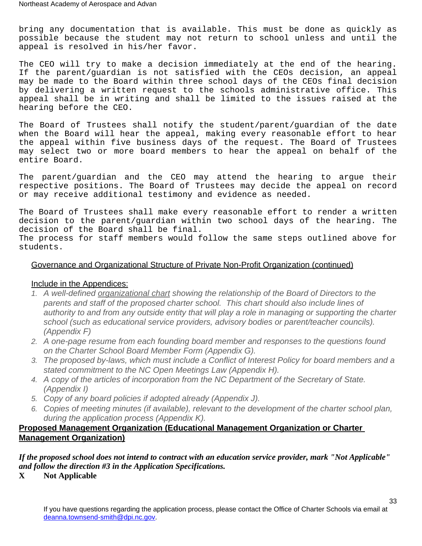bring any documentation that is available. This must be done as quickly as possible because the student may not return to school unless and until the appeal is resolved in his/her favor.

The CEO will try to make a decision immediately at the end of the hearing. If the parent/guardian is not satisfied with the CEOs decision, an appeal may be made to the Board within three school days of the CEOs final decision by delivering a written request to the schools administrative office. This appeal shall be in writing and shall be limited to the issues raised at the hearing before the CEO.

The Board of Trustees shall notify the student/parent/guardian of the date when the Board will hear the appeal, making every reasonable effort to hear the appeal within five business days of the request. The Board of Trustees may select two or more board members to hear the appeal on behalf of the entire Board.

The parent/guardian and the CEO may attend the hearing to argue their respective positions. The Board of Trustees may decide the appeal on record or may receive additional testimony and evidence as needed.

The Board of Trustees shall make every reasonable effort to render a written decision to the parent/guardian within two school days of the hearing. The decision of the Board shall be final. The process for staff members would follow the same steps outlined above for students.

#### Governance and Organizational Structure of Private Non-Profit Organization (continued)

#### Include in the Appendices:

- 1. A well-defined organizational chart showing the relationship of the Board of Directors to the parents and staff of the proposed charter school. This chart should also include lines of authority to and from any outside entity that will play a role in managing or supporting the charter school (such as educational service providers, advisory bodies or parent/teacher councils). (Appendix F)
- 2. A one-page resume from each founding board member and responses to the questions found on the Charter School Board Member Form (Appendix G).
- 3. The proposed by-laws, which must include a Conflict of Interest Policy for board members and a stated commitment to the NC Open Meetings Law (Appendix H).
- 4. A copy of the articles of incorporation from the NC Department of the Secretary of State. (Appendix I)
- 5. Copy of any board policies if adopted already (Appendix J).
- 6. Copies of meeting minutes (if available), relevant to the development of the charter school plan, during the application process (Appendix K).

#### <span id="page-32-0"></span>**Proposed Management Organization (Educational Management Organization or Charter Management Organization)**

*If the proposed school does not intend to contract with an education service provider, mark "Not Applicable" and follow the direction #3 in the Application Specifications.* 

**X Not Applicable**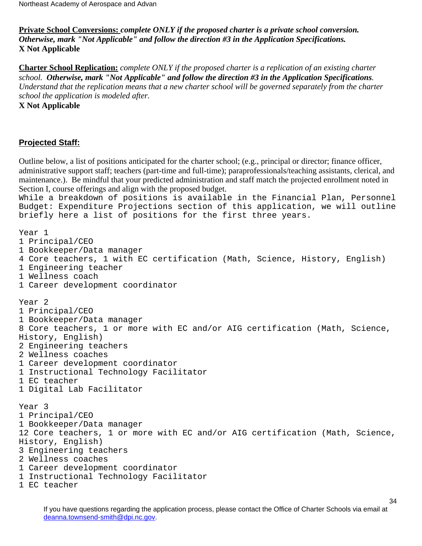<span id="page-33-0"></span>**Private School Conversions:** *complete ONLY if the proposed charter is a private school conversion. Otherwise, mark "Not Applicable" and follow the direction #3 in the Application Specifications.*  **X Not Applicable**

<span id="page-33-1"></span>**Charter School Replication:** *complete ONLY if the proposed charter is a replication of an existing charter school. Otherwise, mark "Not Applicable" and follow the direction #3 in the Application Specifications. Understand that the replication means that a new charter school will be governed separately from the charter school the application is modeled after.*

**X Not Applicable**

## <span id="page-33-2"></span>**Projected Staff:**

Outline below, a list of positions anticipated for the charter school; (e.g., principal or director; finance officer, administrative support staff; teachers (part-time and full-time); paraprofessionals/teaching assistants, clerical, and maintenance.). Be mindful that your predicted administration and staff match the projected enrollment noted in Section I, course offerings and align with the proposed budget.

While a breakdown of positions is available in the Financial Plan, Personnel Budget: Expenditure Projections section of this application, we will outline briefly here a list of positions for the first three years.

Year 1

- 1 Principal/CEO
- 1 Bookkeeper/Data manager
- 4 Core teachers, 1 with EC certification (Math, Science, History, English)
- 1 Engineering teacher
- 1 Wellness coach
- 1 Career development coordinator

Year 2

- 1 Principal/CEO
- 1 Bookkeeper/Data manager

8 Core teachers, 1 or more with EC and/or AIG certification (Math, Science, History, English)

- 2 Engineering teachers
- 2 Wellness coaches
- 1 Career development coordinator
- 1 Instructional Technology Facilitator
- 1 EC teacher
- 1 Digital Lab Facilitator

Year 3 1 Principal/CEO 1 Bookkeeper/Data manager 12 Core teachers, 1 or more with EC and/or AIG certification (Math, Science, History, English) 3 Engineering teachers 2 Wellness coaches 1 Career development coordinator 1 Instructional Technology Facilitator 1 EC teacher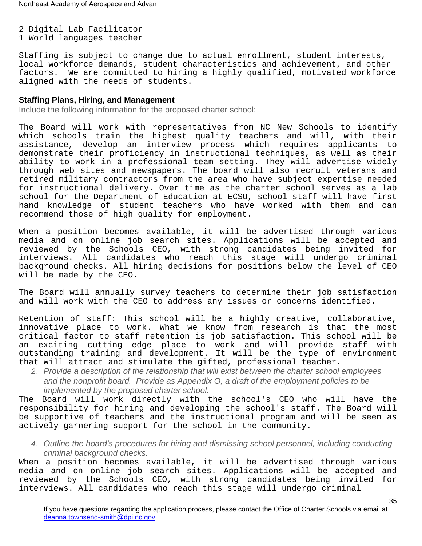2 Digital Lab Facilitator 1 World languages teacher

Staffing is subject to change due to actual enrollment, student interests, local workforce demands, student characteristics and achievement, and other factors. We are committed to hiring a highly qualified, motivated workforce aligned with the needs of students.

#### **Staffing Plans, Hiring, and Management**

Include the following information for the proposed charter school:

The Board will work with representatives from NC New Schools to identify which schools train the highest quality teachers and will, with their assistance, develop an interview process which requires applicants to demonstrate their proficiency in instructional techniques, as well as their ability to work in a professional team setting. They will advertise widely through web sites and newspapers. The board will also recruit veterans and retired military contractors from the area who have subject expertise needed for instructional delivery. Over time as the charter school serves as a lab school for the Department of Education at ECSU, school staff will have first hand knowledge of student teachers who have worked with them and can recommend those of high quality for employment.

When a position becomes available, it will be advertised through various media and on online job search sites. Applications will be accepted and reviewed by the Schools CEO, with strong candidates being invited for interviews. All candidates who reach this stage will undergo criminal background checks. All hiring decisions for positions below the level of CEO will be made by the CEO.

The Board will annually survey teachers to determine their job satisfaction and will work with the CEO to address any issues or concerns identified.

Retention of staff: This school will be a highly creative, collaborative, innovative place to work. What we know from research is that the most critical factor to staff retention is job satisfaction. This school will be an exciting cutting edge place to work and will provide staff with outstanding training and development. It will be the type of environment that will attract and stimulate the gifted, professional teacher.

2. Provide a description of the relationship that will exist between the charter school employees and the nonprofit board. Provide as Appendix O, a draft of the employment policies to be implemented by the proposed charter school.

The Board will work directly with the school's CEO who will have the responsibility for hiring and developing the school's staff. The Board will be supportive of teachers and the instructional program and will be seen as actively garnering support for the school in the community.

4. Outline the board's procedures for hiring and dismissing school personnel, including conducting criminal background checks.

When a position becomes available, it will be advertised through various media and on online job search sites. Applications will be accepted and reviewed by the Schools CEO, with strong candidates being invited for interviews. All candidates who reach this stage will undergo criminal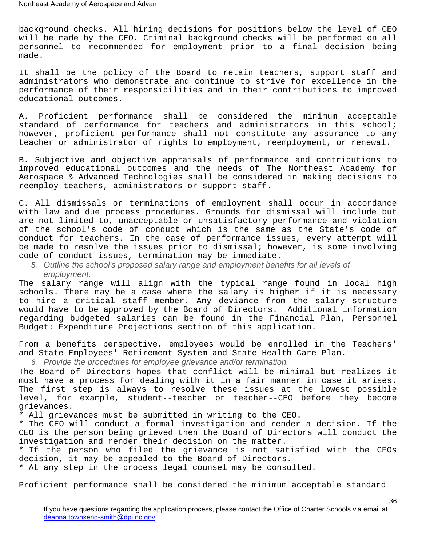background checks. All hiring decisions for positions below the level of CEO will be made by the CEO. Criminal background checks will be performed on all personnel to recommended for employment prior to a final decision being made.

It shall be the policy of the Board to retain teachers, support staff and administrators who demonstrate and continue to strive for excellence in the performance of their responsibilities and in their contributions to improved educational outcomes.

A. Proficient performance shall be considered the minimum acceptable standard of performance for teachers and administrators in this school; however, proficient performance shall not constitute any assurance to any teacher or administrator of rights to employment, reemployment, or renewal.

B. Subjective and objective appraisals of performance and contributions to improved educational outcomes and the needs of The Northeast Academy for Aerospace & Advanced Technologies shall be considered in making decisions to reemploy teachers, administrators or support staff.

C. All dismissals or terminations of employment shall occur in accordance with law and due process procedures. Grounds for dismissal will include but are not limited to, unacceptable or unsatisfactory performance and violation of the school's code of conduct which is the same as the State's code of conduct for teachers. In the case of performance issues, every attempt will be made to resolve the issues prior to dismissal; however, is some involving code of conduct issues, termination may be immediate.

5. Outline the school's proposed salary range and employment benefits for all levels of employment.

The salary range will align with the typical range found in local high schools. There may be a case where the salary is higher if it is necessary to hire a critical staff member. Any deviance from the salary structure would have to be approved by the Board of Directors. Additional information regarding budgeted salaries can be found in the Financial Plan, Personnel Budget: Expenditure Projections section of this application.

From a benefits perspective, employees would be enrolled in the Teachers' and State Employees' Retirement System and State Health Care Plan.

6. Provide the procedures for employee grievance and/or termination.

The Board of Directors hopes that conflict will be minimal but realizes it must have a process for dealing with it in a fair manner in case it arises. The first step is always to resolve these issues at the lowest possible level, for example, student--teacher or teacher--CEO before they become grievances.

\* All grievances must be submitted in writing to the CEO.

\* The CEO will conduct a formal investigation and render a decision. If the CEO is the person being grieved then the Board of Directors will conduct the investigation and render their decision on the matter.

\* If the person who filed the grievance is not satisfied with the CEOs decision, it may be appealed to the Board of Directors.

\* At any step in the process legal counsel may be consulted.

Proficient performance shall be considered the minimum acceptable standard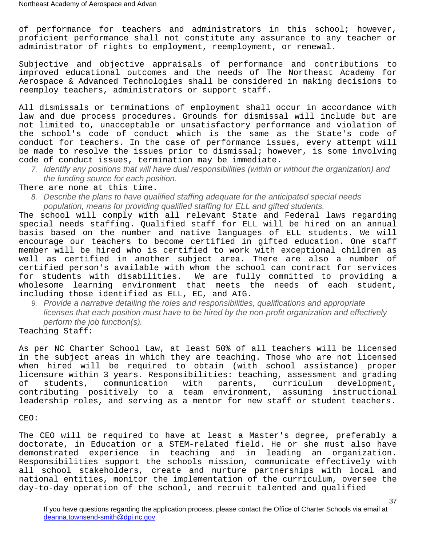of performance for teachers and administrators in this school; however, proficient performance shall not constitute any assurance to any teacher or administrator of rights to employment, reemployment, or renewal.

Subjective and objective appraisals of performance and contributions to improved educational outcomes and the needs of The Northeast Academy for Aerospace & Advanced Technologies shall be considered in making decisions to reemploy teachers, administrators or support staff.

All dismissals or terminations of employment shall occur in accordance with law and due process procedures. Grounds for dismissal will include but are not limited to, unacceptable or unsatisfactory performance and violation of the school's code of conduct which is the same as the State's code of conduct for teachers. In the case of performance issues, every attempt will be made to resolve the issues prior to dismissal; however, is some involving code of conduct issues, termination may be immediate.

7. Identify any positions that will have dual responsibilities (within or without the organization) and the funding source for each position.

There are none at this time.

8. Describe the plans to have qualified staffing adequate for the anticipated special needs population, means for providing qualified staffing for ELL and gifted students.

The school will comply with all relevant State and Federal laws regarding special needs staffing. Qualified staff for ELL will be hired on an annual basis based on the number and native languages of ELL students. We will encourage our teachers to become certified in gifted education. One staff member will be hired who is certified to work with exceptional children as well as certified in another subject area. There are also a number of certified person's available with whom the school can contract for services for students with disabilities. We are fully committed to providing a wholesome learning environment that meets the needs of each student, including those identified as ELL, EC, and AIG.

9. Provide a narrative detailing the roles and responsibilities, qualifications and appropriate licenses that each position must have to be hired by the non-profit organization and effectively perform the job function(s).

Teaching Staff:

As per NC Charter School Law, at least 50% of all teachers will be licensed in the subject areas in which they are teaching. Those who are not licensed when hired will be required to obtain (with school assistance) proper licensure within 3 years. Responsibilities: teaching, assessment and grading of students, communication with parents, curriculum development, contributing positively to a team environment, assuming instructional leadership roles, and serving as a mentor for new staff or student teachers.

CEO:

The CEO will be required to have at least a Master's degree, preferably a doctorate, in Education or a STEM-related field. He or she must also have demonstrated experience in teaching and in leading an organization. Responsibilities support the schools mission, communicate effectively with all school stakeholders, create and nurture partnerships with local and national entities, monitor the implementation of the curriculum, oversee the day-to-day operation of the school, and recruit talented and qualified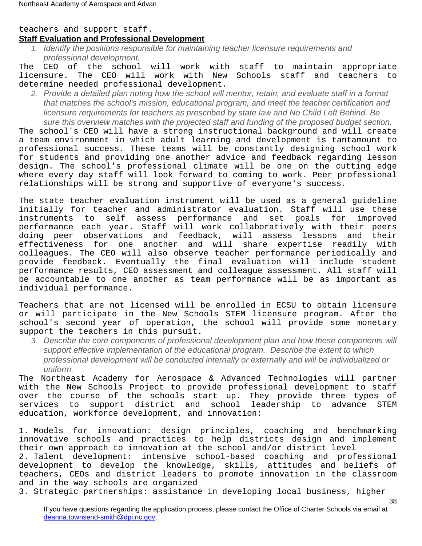#### teachers and support staff. **Staff Evaluation and Professional Development**

1. Identify the positions responsible for maintaining teacher licensure requirements and professional development.

The CEO of the school will work with staff to maintain appropriate licensure. The CEO will work with New Schools staff and teachers to determine needed professional development.

2. Provide a detailed plan noting how the school will mentor, retain, and evaluate staff in a format that matches the school's mission, educational program, and meet the teacher certification and licensure requirements for teachers as prescribed by state law and No Child Left Behind. Be sure this overview matches with the projected staff and funding of the proposed budget section.

The school's CEO will have a strong instructional background and will create a team environment in which adult learning and development is tantamount to professional success. These teams will be constantly designing school work for students and providing one another advice and feedback regarding lesson design. The school's professional climate will be one on the cutting edge where every day staff will look forward to coming to work. Peer professional relationships will be strong and supportive of everyone's success.

The state teacher evaluation instrument will be used as a general guideline initially for teacher and administrator evaluation. Staff will use these instruments to self assess performance and set goals for improved performance each year. Staff will work collaboratively with their peers doing peer observations and feedback, will assess lessons and their effectiveness for one another and will share expertise readily with colleagues. The CEO will also observe teacher performance periodically and provide feedback. Eventually the final evaluation will include student performance results, CEO assessment and colleague assessment. All staff will be accountable to one another as team performance will be as important as individual performance.

Teachers that are not licensed will be enrolled in ECSU to obtain licensure or will participate in the New Schools STEM licensure program. After the school's second year of operation, the school will provide some monetary support the teachers in this pursuit.

3. Describe the core components of professional development plan and how these components will support effective implementation of the educational program. Describe the extent to which professional development will be conducted internally or externally and will be individualized or uniform.

The Northeast Academy for Aerospace & Advanced Technologies will partner with the New Schools Project to provide professional development to staff over the course of the schools start up. They provide three types of services to support district and school leadership to advance STEM education, workforce development, and innovation:

1. Models for innovation: design principles, coaching and benchmarking innovative schools and practices to help districts design and implement their own approach to innovation at the school and/or district level 2. Talent development: intensive school-based coaching and professional development to develop the knowledge, skills, attitudes and beliefs of teachers, CEOs and district leaders to promote innovation in the classroom and in the way schools are organized

3. Strategic partnerships: assistance in developing local business, higher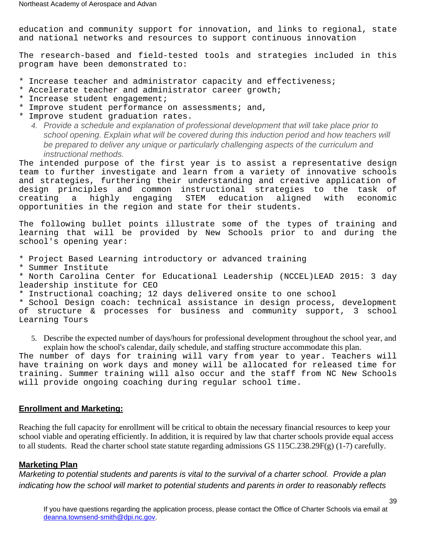education and community support for innovation, and links to regional, state and national networks and resources to support continuous innovation

The research-based and field-tested tools and strategies included in this program have been demonstrated to:

- \* Increase teacher and administrator capacity and effectiveness;
- \* Accelerate teacher and administrator career growth;
- \* Increase student engagement;
- \* Improve student performance on assessments; and,
- \* Improve student graduation rates.
	- 4. Provide a schedule and explanation of professional development that will take place prior to school opening. Explain what will be covered during this induction period and how teachers will be prepared to deliver any unique or particularly challenging aspects of the curriculum and instructional methods.

The intended purpose of the first year is to assist a representative design team to further investigate and learn from a variety of innovative schools and strategies, furthering their understanding and creative application of design principles and common instructional strategies to the task of creating a highly engaging STEM education aligned with economic opportunities in the region and state for their students.

The following bullet points illustrate some of the types of training and learning that will be provided by New Schools prior to and during the school's opening year:

\* Project Based Learning introductory or advanced training

\* Summer Institute

\* North Carolina Center for Educational Leadership (NCCEL)LEAD 2015: 3 day leadership institute for CEO

\* Instructional coaching; 12 days delivered onsite to one school

\* School Design coach: technical assistance in design process, development of structure & processes for business and community support, 3 school Learning Tours

5. Describe the expected number of days/hours for professional development throughout the school year, and explain how the school's calendar, daily schedule, and staffing structure accommodate this plan.

The number of days for training will vary from year to year. Teachers will have training on work days and money will be allocated for released time for training. Summer training will also occur and the staff from NC New Schools will provide ongoing coaching during regular school time.

## <span id="page-38-0"></span>**Enrollment and Marketing:**

Reaching the full capacity for enrollment will be critical to obtain the necessary financial resources to keep your school viable and operating efficiently. In addition, it is required by law that charter schools provide equal access to all students. Read the charter school state statute regarding admissions GS 115C.238.29F(g) (1-7) carefully.

## **Marketing Plan**

Marketing to potential students and parents is vital to the survival of a charter school. Provide a plan indicating how the school will market to potential students and parents in order to reasonably reflects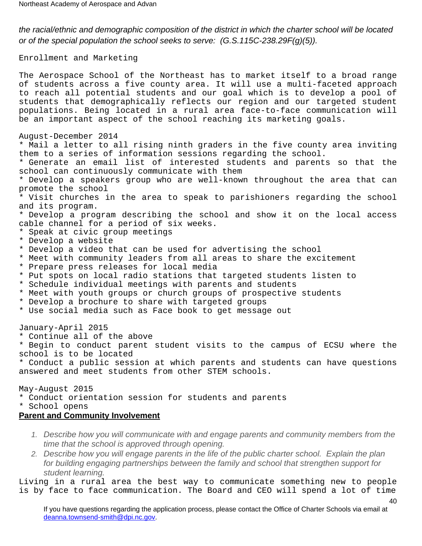the racial/ethnic and demographic composition of the district in which the charter school will be located or of the special population the school seeks to serve: (G.S.115C-238.29F(g)(5)).

Enrollment and Marketing

The Aerospace School of the Northeast has to market itself to a broad range of students across a five county area. It will use a multi-faceted approach to reach all potential students and our goal which is to develop a pool of students that demographically reflects our region and our targeted student populations. Being located in a rural area face-to-face communication will be an important aspect of the school reaching its marketing goals.

August-December 2014

\* Mail a letter to all rising ninth graders in the five county area inviting them to a series of information sessions regarding the school.

\* Generate an email list of interested students and parents so that the school can continuously communicate with them

\* Develop a speakers group who are well-known throughout the area that can promote the school

\* Visit churches in the area to speak to parishioners regarding the school and its program.

\* Develop a program describing the school and show it on the local access cable channel for a period of six weeks.

- \* Speak at civic group meetings
- \* Develop a website
- \* Develop a video that can be used for advertising the school
- \* Meet with community leaders from all areas to share the excitement
- \* Prepare press releases for local media
- \* Put spots on local radio stations that targeted students listen to
- \* Schedule individual meetings with parents and students
- \* Meet with youth groups or church groups of prospective students
- \* Develop a brochure to share with targeted groups
- \* Use social media such as Face book to get message out

January-April 2015

\* Continue all of the above

\* Begin to conduct parent student visits to the campus of ECSU where the school is to be located

\* Conduct a public session at which parents and students can have questions answered and meet students from other STEM schools.

May-August 2015

\* Conduct orientation session for students and parents

\* School opens

#### **Parent and Community Involvement**

- 1. Describe how you will communicate with and engage parents and community members from the time that the school is approved through opening.
- 2. Describe how you will engage parents in the life of the public charter school. Explain the plan for building engaging partnerships between the family and school that strengthen support for student learning.

Living in a rural area the best way to communicate something new to people is by face to face communication. The Board and CEO will spend a lot of time

If you have questions regarding the application process, please contact the Office of Charter Schools via email at [deanna.townsend-smith@dpi.nc.gov](mailto:officeofcharterschools@dpi.nc.gov).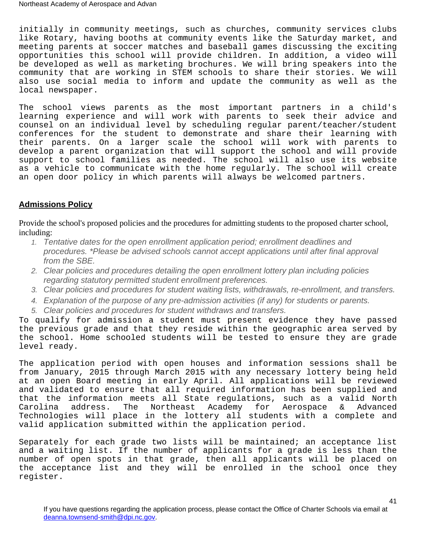initially in community meetings, such as churches, community services clubs like Rotary, having booths at community events like the Saturday market, and meeting parents at soccer matches and baseball games discussing the exciting opportunities this school will provide children. In addition, a video will be developed as well as marketing brochures. We will bring speakers into the community that are working in STEM schools to share their stories. We will also use social media to inform and update the community as well as the local newspaper.

The school views parents as the most important partners in a child's learning experience and will work with parents to seek their advice and counsel on an individual level by scheduling regular parent/teacher/student conferences for the student to demonstrate and share their learning with their parents. On a larger scale the school will work with parents to develop a parent organization that will support the school and will provide support to school families as needed. The school will also use its website as a vehicle to communicate with the home regularly. The school will create an open door policy in which parents will always be welcomed partners.

## **Admissions Policy**

Provide the school's proposed policies and the procedures for admitting students to the proposed charter school, including:

- 1. Tentative dates for the open enrollment application period; enrollment deadlines and procedures. \*Please be advised schools cannot accept applications until after final approval from the SBE.
- 2. Clear policies and procedures detailing the open enrollment lottery plan including policies regarding statutory permitted student enrollment preferences.
- 3. Clear policies and procedures for student waiting lists, withdrawals, re-enrollment, and transfers.
- 4. Explanation of the purpose of any pre-admission activities (if any) for students or parents.
- 5. Clear policies and procedures for student withdraws and transfers.

To qualify for admission a student must present evidence they have passed the previous grade and that they reside within the geographic area served by the school. Home schooled students will be tested to ensure they are grade level ready.

The application period with open houses and information sessions shall be from January, 2015 through March 2015 with any necessary lottery being held at an open Board meeting in early April. All applications will be reviewed and validated to ensure that all required information has been supplied and that the information meets all State regulations, such as a valid North<br>Carolina address. The Northeast Academy for Aerospace & Advanced Carolina address. The Northeast Academy for Aerospace & Advanced Technologies will place in the lottery all students with a complete and valid application submitted within the application period.

Separately for each grade two lists will be maintained; an acceptance list and a waiting list. If the number of applicants for a grade is less than the number of open spots in that grade, then all applicants will be placed on the acceptance list and they will be enrolled in the school once they register.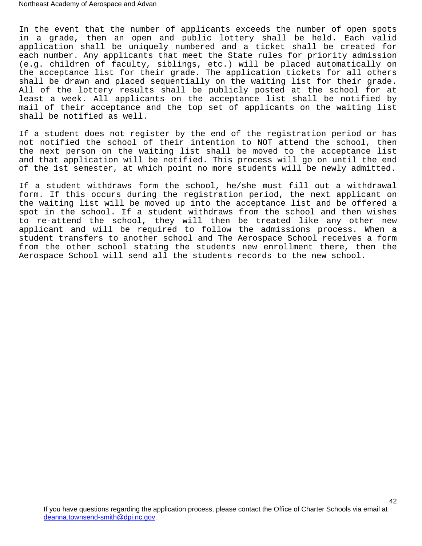In the event that the number of applicants exceeds the number of open spots in a grade, then an open and public lottery shall be held. Each valid application shall be uniquely numbered and a ticket shall be created for each number. Any applicants that meet the State rules for priority admission (e.g. children of faculty, siblings, etc.) will be placed automatically on the acceptance list for their grade. The application tickets for all others shall be drawn and placed sequentially on the waiting list for their grade. All of the lottery results shall be publicly posted at the school for at least a week. All applicants on the acceptance list shall be notified by mail of their acceptance and the top set of applicants on the waiting list shall be notified as well.

If a student does not register by the end of the registration period or has not notified the school of their intention to NOT attend the school, then the next person on the waiting list shall be moved to the acceptance list and that application will be notified. This process will go on until the end of the 1st semester, at which point no more students will be newly admitted.

If a student withdraws form the school, he/she must fill out a withdrawal form. If this occurs during the registration period, the next applicant on the waiting list will be moved up into the acceptance list and be offered a spot in the school. If a student withdraws from the school and then wishes to re-attend the school, they will then be treated like any other new applicant and will be required to follow the admissions process. When a student transfers to another school and The Aerospace School receives a form from the other school stating the students new enrollment there, then the Aerospace School will send all the students records to the new school.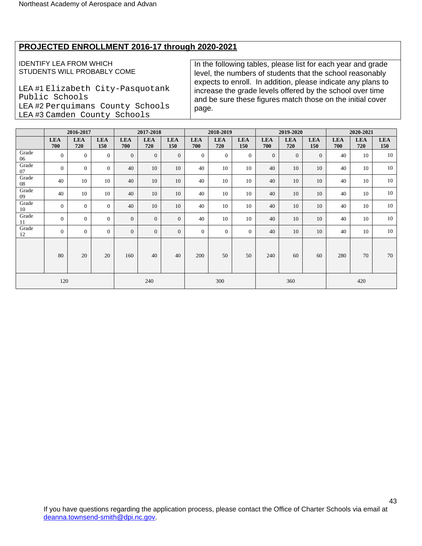# **PROJECTED ENROLLMENT 2016-17 through 2020-2021**

#### IDENTIFY LEA FROM WHICH STUDENTS WILL PROBABLY COME

LEA #1 Elizabeth City-Pasquotank Public Schools LEA #2 Perquimans County Schools LEA #3 Camden County Schools

In the following tables, please list for each year and grade level, the numbers of students that the school reasonably expects to enroll. In addition, please indicate any plans to increase the grade levels offered by the school over time and be sure these figures match those on the initial cover page.

|             |                   | 2016-2017         |                   |                   | 2017-2018         |                   |                   | 2018-2019         |                   |                   | 2019-2020         |                   |                   | 2020-2021         |                   |
|-------------|-------------------|-------------------|-------------------|-------------------|-------------------|-------------------|-------------------|-------------------|-------------------|-------------------|-------------------|-------------------|-------------------|-------------------|-------------------|
|             | <b>LEA</b><br>700 | <b>LEA</b><br>720 | <b>LEA</b><br>150 | <b>LEA</b><br>700 | <b>LEA</b><br>720 | <b>LEA</b><br>150 | <b>LEA</b><br>700 | <b>LEA</b><br>720 | <b>LEA</b><br>150 | <b>LEA</b><br>700 | <b>LEA</b><br>720 | <b>LEA</b><br>150 | <b>LEA</b><br>700 | <b>LEA</b><br>720 | <b>LEA</b><br>150 |
| Grade<br>06 | $\mathbf{0}$      | $\overline{0}$    | $\mathbf{0}$      | $\overline{0}$    | $\overline{0}$    | $\overline{0}$    | $\overline{0}$    | $\overline{0}$    | $\theta$          | $\overline{0}$    | $\overline{0}$    | $\overline{0}$    | 40                | 10                | 10                |
| Grade<br>07 | $\mathbf{0}$      | $\mathbf{0}$      | $\mathbf{0}$      | 40                | 10                | 10                | 40                | 10                | 10                | 40                | 10                | 10                | 40                | 10                | 10                |
| Grade<br>08 | 40                | 10                | 10                | 40                | 10                | 10                | 40                | 10                | 10                | 40                | 10                | 10                | 40                | 10                | 10                |
| Grade<br>09 | 40                | 10                | 10                | 40                | 10                | 10                | 40                | 10                | 10                | 40                | 10                | 10                | 40                | 10                | 10                |
| Grade<br>10 | $\mathbf{0}$      | $\Omega$          | $\overline{0}$    | 40                | 10                | 10                | 40                | 10                | 10                | 40                | 10                | 10                | 40                | 10                | 10                |
| Grade<br>11 | $\theta$          | $\theta$          | $\mathbf{0}$      | $\overline{0}$    | $\overline{0}$    | $\overline{0}$    | 40                | 10                | 10                | 40                | 10                | 10                | 40                | 10                | 10                |
| Grade<br>12 | $\mathbf{0}$      | $\Omega$          | $\overline{0}$    | $\Omega$          | $\overline{0}$    | $\overline{0}$    | $\overline{0}$    | $\overline{0}$    | $\overline{0}$    | 40                | 10                | 10                | 40                | 10                | 10                |
|             | 80                | 20                | 20                | 160               | 40                | 40                | 200               | 50                | 50                | 240               | 60                | 60                | 280               | 70                | 70                |
|             | 120               |                   |                   |                   | 240               |                   |                   | 300               |                   |                   | 360               |                   |                   | 420               |                   |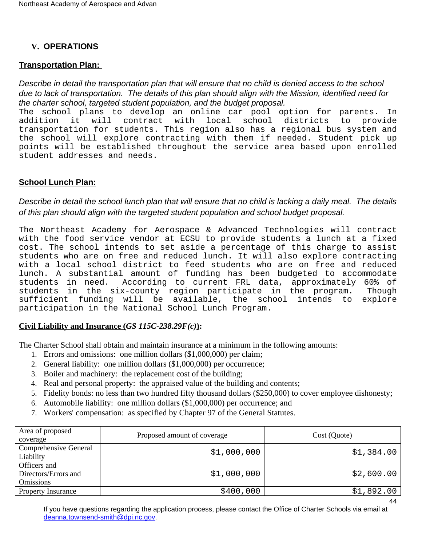# <span id="page-43-0"></span>**V. OPERATIONS**

# <span id="page-43-1"></span>**Transportation Plan:**

Describe in detail the transportation plan that will ensure that no child is denied access to the school due to lack of transportation. The details of this plan should align with the Mission, identified need for the charter school, targeted student population, and the budget proposal.

The school plans to develop an online car pool option for parents. In addition it will contract with local school districts to provide transportation for students. This region also has a regional bus system and the school will explore contracting with them if needed. Student pick up points will be established throughout the service area based upon enrolled student addresses and needs.

## <span id="page-43-2"></span>**School Lunch Plan:**

Describe in detail the school lunch plan that will ensure that no child is lacking a daily meal. The details of this plan should align with the targeted student population and school budget proposal.

The Northeast Academy for Aerospace & Advanced Technologies will contract with the food service vendor at ECSU to provide students a lunch at a fixed cost. The school intends to set aside a percentage of this charge to assist students who are on free and reduced lunch. It will also explore contracting with a local school district to feed students who are on free and reduced lunch. A substantial amount of funding has been budgeted to accommodate students in need. According to current FRL data, approximately 60% of students in the six-county region participate in the program. Though<br>sufficient funding will be available, the school intends to explore sufficient funding will be available, the school participation in the National School Lunch Program.

## <span id="page-43-3"></span>**Civil Liability and Insurance (***GS 115C-238.29F(c)***):**

The Charter School shall obtain and maintain insurance at a minimum in the following amounts:

- 1. Errors and omissions: one million dollars (\$1,000,000) per claim;
- 2. General liability: one million dollars (\$1,000,000) per occurrence;
- 3. Boiler and machinery: the replacement cost of the building;
- 4. Real and personal property: the appraised value of the building and contents;
- 5. Fidelity bonds: no less than two hundred fifty thousand dollars (\$250,000) to cover employee dishonesty;
- 6. Automobile liability: one million dollars (\$1,000,000) per occurrence; and
- 7. Workers' compensation: as specified by Chapter 97 of the General Statutes.

| Area of proposed<br>coverage                             | Proposed amount of coverage | Cost (Quote) |
|----------------------------------------------------------|-----------------------------|--------------|
| Comprehensive General<br>Liability                       | \$1,000,000                 | \$1,384.00   |
| Officers and<br>Directors/Errors and<br><b>Omissions</b> | \$1,000,000                 | \$2,600.00   |
| <b>Property Insurance</b>                                | \$400,000                   | \$1,892.00   |
|                                                          |                             | 44           |

If you have questions regarding the application process, please contact the Office of Charter Schools via email at [deanna.townsend-smith@dpi.nc.gov](mailto:officeofcharterschools@dpi.nc.gov).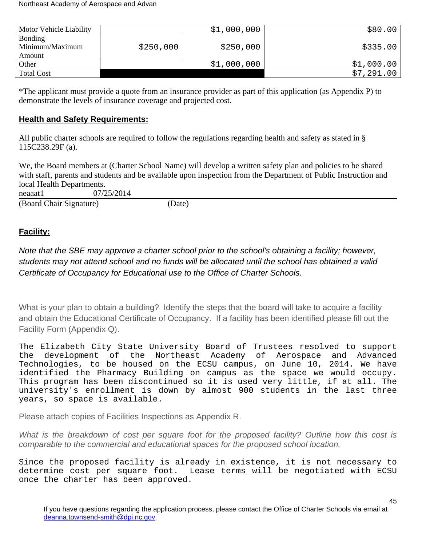| Motor Vehicle Liability                     |           | \$1,000,000 | \$80.00    |
|---------------------------------------------|-----------|-------------|------------|
| <b>Bonding</b><br>Minimum/Maximum<br>Amount | \$250,000 | \$250,000   | \$335.00   |
| Other                                       |           | \$1,000,000 | \$1,000.00 |
| <b>Total Cost</b>                           |           |             | \$7,291.00 |

\*The applicant must provide a quote from an insurance provider as part of this application (as Appendix P) to demonstrate the levels of insurance coverage and projected cost.

# <span id="page-44-0"></span>**Health and Safety Requirements:**

All public charter schools are required to follow the regulations regarding health and safety as stated in § 115C238.29F (a).

We, the Board members at (Charter School Name) will develop a written safety plan and policies to be shared with staff, parents and students and be available upon inspection from the Department of Public Instruction and local Health Departments.

neaaat1 07/25/2014

(Board Chair Signature) (Date)

# <span id="page-44-1"></span>**Facility:**

Note that the SBE may approve a charter school prior to the school's obtaining a facility; however, students may not attend school and no funds will be allocated until the school has obtained a valid Certificate of Occupancy for Educational use to the Office of Charter Schools.

What is your plan to obtain a building? Identify the steps that the board will take to acquire a facility and obtain the Educational Certificate of Occupancy. If a facility has been identified please fill out the Facility Form (Appendix Q).

The Elizabeth City State University Board of Trustees resolved to support the development of the Northeast Academy of Aerospace and Advanced Technologies, to be housed on the ECSU campus, on June 10, 2014. We have identified the Pharmacy Building on campus as the space we would occupy. This program has been discontinued so it is used very little, if at all. The university's enrollment is down by almost 900 students in the last three years, so space is available.

Please attach copies of Facilities Inspections as Appendix R.

What is the breakdown of cost per square foot for the proposed facility? Outline how this cost is comparable to the commercial and educational spaces for the proposed school location.

Since the proposed facility is already in existence, it is not necessary to determine cost per square foot. Lease terms will be negotiated with ECSU once the charter has been approved.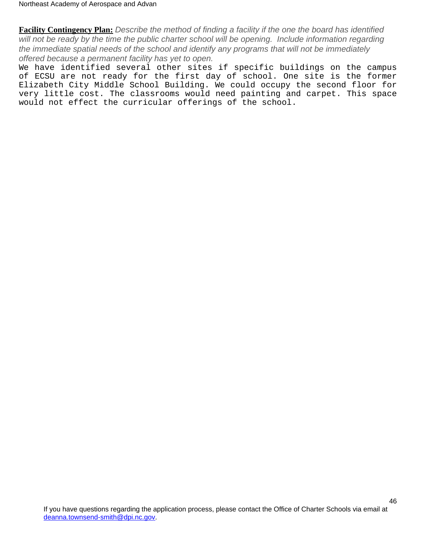**Facility Contingency Plan:** Describe the method of finding a facility if the one the board has identified will not be ready by the time the public charter school will be opening. Include information regarding the immediate spatial needs of the school and identify any programs that will not be immediately offered because a permanent facility has yet to open.

We have identified several other sites if specific buildings on the campus of ECSU are not ready for the first day of school. One site is the former Elizabeth City Middle School Building. We could occupy the second floor for very little cost. The classrooms would need painting and carpet. This space would not effect the curricular offerings of the school.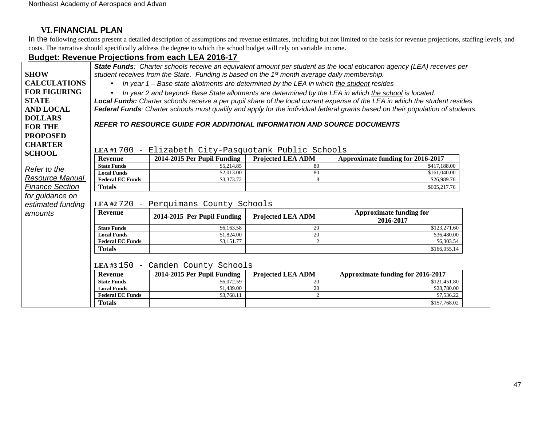# **VI.FINANCIAL PLAN**

In the following sections present a detailed description of assumptions and revenue estimates, including but not limited to the basis for revenue projections, staffing levels, and costs. The narrative should specifically address the degree to which the school budget will rely on variable income.

## **Budget: Revenue Projections from each LEA 2016-17**

<span id="page-46-0"></span>

|                        |                                        |                                                                                                          |                   | State Funds: Charter schools receive an equivalent amount per student as the local education agency (LEA) receives per         |
|------------------------|----------------------------------------|----------------------------------------------------------------------------------------------------------|-------------------|--------------------------------------------------------------------------------------------------------------------------------|
| <b>SHOW</b>            |                                        | student receives from the State. Funding is based on the 1 <sup>st</sup> month average daily membership. |                   |                                                                                                                                |
| <b>CALCULATIONS</b>    | $\bullet$                              | In year 1 - Base state allotments are determined by the LEA in which the student resides                 |                   |                                                                                                                                |
| <b>FOR FIGURING</b>    | $\bullet$                              |                                                                                                          |                   | In year 2 and beyond- Base State allotments are determined by the LEA in which the school is located.                          |
| <b>STATE</b>           |                                        |                                                                                                          |                   | Local Funds: Charter schools receive a per pupil share of the local current expense of the LEA in which the student resides.   |
| <b>AND LOCAL</b>       |                                        |                                                                                                          |                   | Federal Funds: Charter schools must qualify and apply for the individual federal grants based on their population of students. |
| <b>DOLLARS</b>         |                                        |                                                                                                          |                   |                                                                                                                                |
|                        |                                        | REFER TO RESOURCE GUIDE FOR ADDITIONAL INFORMATION AND SOURCE DOCUMENTS                                  |                   |                                                                                                                                |
| <b>FOR THE</b>         |                                        |                                                                                                          |                   |                                                                                                                                |
| <b>PROPOSED</b>        |                                        |                                                                                                          |                   |                                                                                                                                |
| <b>CHARTER</b>         |                                        |                                                                                                          |                   |                                                                                                                                |
| <b>SCHOOL</b>          | LEA #1 700                             | - Elizabeth City-Pasquotank Public Schools                                                               |                   |                                                                                                                                |
|                        | <b>Revenue</b>                         | 2014-2015 Per Pupil Funding                                                                              | Projected LEA ADM | Approximate funding for 2016-2017                                                                                              |
| Refer to the           | <b>State Funds</b>                     | \$5,214.85                                                                                               | 80                | \$417,188.00                                                                                                                   |
|                        | <b>Local Funds</b>                     | \$2,013.00                                                                                               | 80                | \$161,040.00                                                                                                                   |
| <b>Resource Manual</b> | <b>Federal EC Funds</b>                | \$3,373.72                                                                                               | 8                 | \$26,989.76                                                                                                                    |
| <b>Finance Section</b> | <b>Totals</b>                          |                                                                                                          |                   | \$605,217.76                                                                                                                   |
| for_guidance on        |                                        |                                                                                                          |                   |                                                                                                                                |
| estimated funding      | LEA #2 720<br>$-$                      | Perquimans County Schools                                                                                |                   |                                                                                                                                |
| amounts                | <b>Revenue</b>                         | 2014-2015 Per Pupil Funding                                                                              | Projected LEA ADM | <b>Approximate funding for</b><br>2016-2017                                                                                    |
|                        | <b>State Funds</b>                     | \$6,163.58                                                                                               | 20                | \$123,271.60                                                                                                                   |
|                        | <b>Local Funds</b>                     | \$1,824.00                                                                                               | 20                | \$36,480.00                                                                                                                    |
|                        | <b>Federal EC Funds</b>                | \$3,151.77                                                                                               | $\overline{2}$    | \$6,303.54                                                                                                                     |
|                        | <b>Totals</b>                          |                                                                                                          |                   | \$166,055.14                                                                                                                   |
|                        | LEA #3 150<br>$\overline{\phantom{m}}$ | Camden County Schools                                                                                    |                   |                                                                                                                                |
|                        | <b>Revenue</b>                         | 2014-2015 Per Pupil Funding                                                                              | Projected LEA ADM | Approximate funding for 2016-2017                                                                                              |
|                        | <b>State Funds</b>                     | \$6,072.59                                                                                               | 20                | \$121,451.80                                                                                                                   |
|                        | <b>Local Funds</b>                     | \$1,439.00                                                                                               | 20                | \$28,780.00                                                                                                                    |
|                        | <b>Federal EC Funds</b>                | \$3,768.11                                                                                               | 2                 | \$7,536.22                                                                                                                     |
|                        | <b>Totals</b>                          |                                                                                                          |                   | \$157,768.02                                                                                                                   |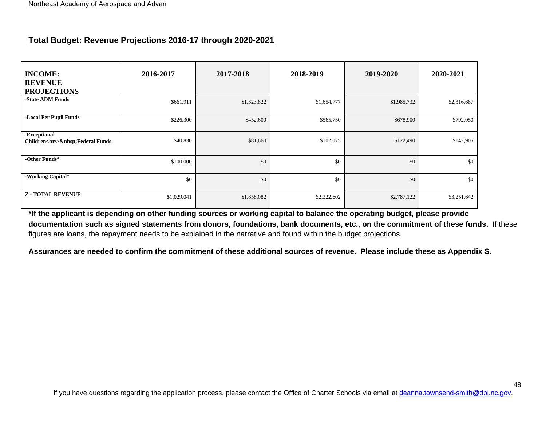# **Total Budget: Revenue Projections 2016-17 through 2020-2021**

| <b>INCOME:</b><br><b>REVENUE</b><br><b>PROJECTIONS</b> | 2016-2017   | 2017-2018   | 2018-2019   | 2019-2020   | 2020-2021   |
|--------------------------------------------------------|-------------|-------------|-------------|-------------|-------------|
| -State ADM Funds                                       | \$661,911   | \$1,323,822 | \$1,654,777 | \$1,985,732 | \$2,316,687 |
| -Local Per Pupil Funds                                 | \$226,300   | \$452,600   | \$565,750   | \$678,900   | \$792,050   |
| -Exceptional<br>Children<br>hr/> Federal Funds         | \$40,830    | \$81,660    | \$102,075   | \$122,490   | \$142,905   |
| -Other Funds*                                          | \$100,000   | \$0         | \$0         | \$0         | \$0         |
| -Working Capital*                                      | \$0         | \$0         | \$0         | \$0         | \$0         |
| <b>Z-TOTAL REVENUE</b>                                 | \$1,029,041 | \$1,858,082 | \$2,322,602 | \$2,787,122 | \$3,251,642 |

<span id="page-47-0"></span>**\*If the applicant is depending on other funding sources or working capital to balance the operating budget, please provide documentation such as signed statements from donors, foundations, bank documents, etc., on the commitment of these funds.** If these figures are loans, the repayment needs to be explained in the narrative and found within the budget projections.

**Assurances are needed to confirm the commitment of these additional sources of revenue. Please include these as Appendix S.**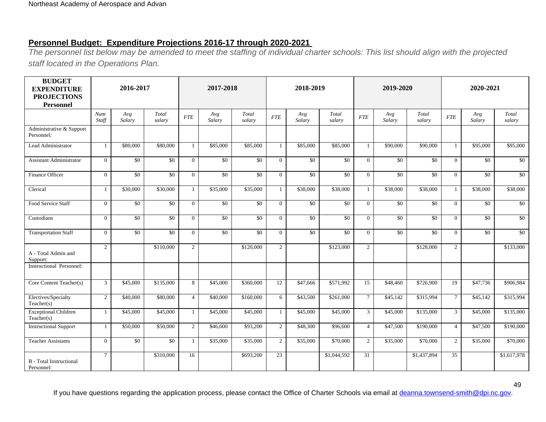# **Personnel Budget: Expenditure Projections 2016-17 through 2020-2021**

The personnel list below may be amended to meet the staffing of individual charter schools: This list should align with the projected staff located in the Operations Plan.

<span id="page-48-0"></span>

| <b>BUDGET</b><br><b>EXPENDITURE</b><br><b>PROJECTIONS</b><br><b>Personnel</b> |                | 2016-2017       |                 |                | 2017-2018       |                 |                | 2018-2019       |                 |                 | 2019-2020       |                 |                 | 2020-2021       |                 |  |
|-------------------------------------------------------------------------------|----------------|-----------------|-----------------|----------------|-----------------|-----------------|----------------|-----------------|-----------------|-----------------|-----------------|-----------------|-----------------|-----------------|-----------------|--|
|                                                                               | Num<br>Staff   | Avg<br>Salary   | Total<br>salary | <b>FTE</b>     | Avg<br>Salary   | Total<br>salary | <b>FTE</b>     | Avg<br>Salary   | Total<br>salary | <b>FTE</b>      | Avg<br>Salary   | Total<br>salary | <b>FTE</b>      | Avg<br>Salary   | Total<br>salary |  |
| Administrative & Support<br>Personnel:                                        |                |                 |                 |                |                 |                 |                |                 |                 |                 |                 |                 |                 |                 |                 |  |
| Lead Administrator                                                            | 1              | \$80,000        | \$80,000        | $\mathbf{1}$   | \$85,000        | \$85,000        | $\mathbf{1}$   | \$85,000        | \$85,000        |                 | \$90,000        | \$90,000        | 1               | \$95,000        | \$95,000        |  |
| <b>Assistant Administrator</b>                                                | $\overline{0}$ | \$0             | $\overline{50}$ | $\Omega$       | \$0             | $\overline{50}$ | $\theta$       | \$0             | \$0             | $\Omega$        | \$0             | $\overline{50}$ | $\theta$        | \$0             | $\sqrt{6}$      |  |
| Finance Officer                                                               | $\overline{0}$ | $\overline{50}$ | $\overline{50}$ | $\Omega$       | $\overline{50}$ | $\overline{50}$ | $\theta$       | \$0             | $\overline{50}$ | $\Omega$        | $\overline{50}$ | $\overline{50}$ | $\Omega$        | $\overline{50}$ | \$0             |  |
| Clerical                                                                      | 1              | \$30,000        | \$30,000        | $\mathbf{1}$   | \$35,000        | \$35,000        | $\mathbf{1}$   | \$38,000        | \$38,000        |                 | \$38,000        | \$38,000        | 1               | \$38,000        | \$38,000        |  |
| Food Service Staff                                                            | $\theta$       | \$0             | $\overline{50}$ | $\Omega$       | \$0             | $\overline{50}$ | $\overline{0}$ | $\overline{50}$ | $\overline{50}$ | $\theta$        | $\overline{50}$ | \$0             | $\Omega$        | $\overline{50}$ | $\overline{50}$ |  |
| Custodians                                                                    | $\mathbf{0}$   | $\overline{50}$ | $\overline{50}$ | $\overline{0}$ | $\overline{50}$ | $\overline{50}$ | $\overline{0}$ | $\overline{50}$ | $\sqrt{50}$     | $\Omega$        | $\sqrt{50}$     | \$0             | $\mathbf{0}$    | \$0             | $\sqrt{6}$      |  |
| <b>Transportation Staff</b>                                                   | $\overline{0}$ | \$0             | \$0             | $\Omega$       | \$0             | \$0             | $\overline{0}$ | $\overline{50}$ | \$0             | $\Omega$        | $\overline{50}$ | \$0             | $\mathbf{0}$    | \$0             | $\overline{50}$ |  |
| A - Total Admin and<br>Support:                                               | $\overline{2}$ |                 | \$110,000       | 2              |                 | \$120,000       | $\overline{2}$ |                 | \$123,000       | 2               |                 | \$128,000       | $\overline{2}$  |                 | \$133,000       |  |
| <b>Instructional Personnel:</b>                                               |                |                 |                 |                |                 |                 |                |                 |                 |                 |                 |                 |                 |                 |                 |  |
| Core Content Teacher(s)                                                       | $\mathfrak{Z}$ | \$45,000        | \$135,000       | 8              | \$45,000        | \$360,000       | 12             | \$47,666        | \$571,992       | $\overline{15}$ | \$48,460        | \$726,900       | <sup>19</sup>   | \$47,736        | \$906.984       |  |
| Electives/Specialty<br>Teacher(s)                                             | $\overline{2}$ | \$40,000        | \$80,000        | $\overline{4}$ | \$40,000        | \$160,000       | 6              | \$43,500        | \$261,000       | $\tau$          | \$45,142        | \$315,994       | $7\overline{ }$ | \$45,142        | \$315,994       |  |
| <b>Exceptional Children</b><br>Teacher(s)                                     | $\mathbf{1}$   | \$45,000        | \$45,000        | $\mathbf{1}$   | \$45,000        | \$45,000        | $\mathbf{1}$   | \$45,000        | \$45,000        | $\mathbf{3}$    | \$45,000        | \$135,000       | $\mathfrak{Z}$  | \$45,000        | \$135,000       |  |
| <b>Instructional Support</b>                                                  | $\mathbf{1}$   | \$50,000        | \$50,000        | $\overline{2}$ | \$46,600        | \$93,200        | $\overline{2}$ | \$48,300        | \$96,600        | $\overline{4}$  | \$47,500        | \$190,000       | $\overline{4}$  | \$47,500        | \$190,000       |  |
| <b>Teacher Assistants</b>                                                     | $\overline{0}$ | \$0             | \$0             | 1              | \$35,000        | \$35,000        | $\overline{2}$ | \$35,000        | \$70,000        | 2               | \$35,000        | \$70,000        | $\overline{2}$  | \$35,000        | \$70,000        |  |
| <b>B</b> - Total Instructional<br>Personnel:                                  | $\tau$         |                 | \$310,000       | 16             |                 | \$693,200       | 23             |                 | \$1,044,592     | 31              |                 | \$1,437,894     | 35              |                 | \$1,617,978     |  |

If you have questions regarding the application process, please contact the Office of Charter Schools via email at [deanna.townsend-smith@dpi.nc.gov](mailto:officeofcharterschools@dpi.nc.gov).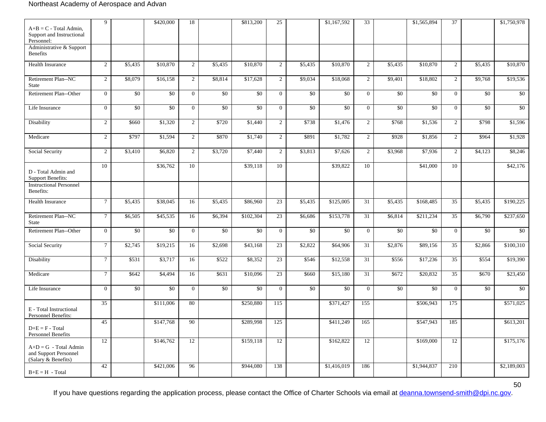#### Northeast Academy of Aerospace and Advan

| $A+B = C$ - Total Admin,<br>Support and Instructional                   | 9              |                 | \$420,000       | 18             |                 | \$813,200             | 25              |                 | \$1,167,592     | 33             |         | \$1,565,894     | 37               |         | \$1,750,978     |
|-------------------------------------------------------------------------|----------------|-----------------|-----------------|----------------|-----------------|-----------------------|-----------------|-----------------|-----------------|----------------|---------|-----------------|------------------|---------|-----------------|
| Personnel:<br>Administrative & Support                                  |                |                 |                 |                |                 |                       |                 |                 |                 |                |         |                 |                  |         |                 |
| <b>Benefits</b>                                                         |                |                 |                 |                |                 |                       |                 |                 |                 |                |         |                 |                  |         |                 |
| Health Insurance                                                        | $\overline{2}$ | \$5,435         | \$10,870        | $\overline{2}$ | \$5,435         | \$10,870              | $\overline{2}$  | \$5,435         | \$10,870        | $\overline{2}$ | \$5,435 | \$10,870        | $\overline{2}$   | \$5,435 | \$10,870        |
| Retirement Plan--NC<br><b>State</b>                                     | $\overline{2}$ | \$8,079         | \$16,158        | $\overline{2}$ | \$8,814         | \$17,628              | $\overline{2}$  | \$9,034         | \$18,068        | $\overline{2}$ | \$9,401 | \$18,802        | $\overline{2}$   | \$9,768 | \$19,536        |
| Retirement Plan--Other                                                  | $\overline{0}$ | \$0             | \$0             | $\overline{0}$ | \$0             | \$0                   | $\overline{0}$  | \$0             | \$0             | $\theta$       | \$0     | \$0             | $\mathbf{0}$     | \$0     | \$0             |
| Life Insurance                                                          | $\overline{0}$ | $\overline{50}$ | $\overline{50}$ | $\overline{0}$ | $\overline{50}$ | $\overline{50}$       | $\mathbf{0}$    | $\overline{50}$ | $\overline{50}$ | $\overline{0}$ | \$0     | $\overline{50}$ | $\overline{0}$   | \$0     | $\overline{50}$ |
| Disability                                                              | $\overline{2}$ | \$660           | \$1,320         | $\sqrt{2}$     | \$720           | \$1,440               | $\overline{2}$  | \$738           | \$1,476         | 2              | \$768   | \$1,536         | $\overline{2}$   | \$798   | \$1,596         |
| Medicare                                                                | $\overline{2}$ | \$797           | \$1,594         | $\overline{2}$ | \$870           | \$1,740               | $\overline{2}$  | \$891           | \$1,782         | $\overline{2}$ | \$928   | \$1,856         | $\overline{2}$   | \$964   | \$1,928         |
| Social Security                                                         | $\overline{2}$ | \$3,410         | \$6,820         | $\overline{2}$ | \$3,720         | \$7,440               | $\overline{2}$  | \$3,813         | \$7,626         | $\overline{2}$ | \$3,968 | \$7,936         | $\overline{2}$   | \$4,123 | \$8,246         |
| D - Total Admin and<br><b>Support Benefits:</b>                         | 10             |                 | \$36,762        | 10             |                 | \$39,118              | 10              |                 | \$39,822        | 10             |         | \$41,000        | 10               |         | \$42,176        |
| <b>Instructional Personnel</b><br>Benefits:                             |                |                 |                 |                |                 |                       |                 |                 |                 |                |         |                 |                  |         |                 |
| Health Insurance                                                        | $\overline{7}$ | \$5,435         | \$38,045        | 16             | \$5,435         | \$86,960              | 23              | \$5,435         | \$125,005       | 31             | \$5,435 | \$168,485       | $\overline{35}$  | \$5,435 | \$190,225       |
| Retirement Plan--NC<br><b>State</b>                                     | $\overline{7}$ | \$6,505         | \$45,535        | 16             | \$6,394         | \$102,304             | 23              | \$6,686         | \$153,778       | 31             | \$6,814 | \$211,234       | $\overline{35}$  | \$6,790 | \$237,650       |
| Retirement Plan--Other                                                  | $\overline{0}$ | \$0             | \$0             | $\overline{0}$ | \$0             | \$0                   | $\overline{0}$  | \$0             | \$0             | $\overline{0}$ | \$0     | \$0             | $\mathbf{0}$     | \$0     | $\overline{50}$ |
| Social Security                                                         | $\tau$         | \$2,745         | \$19,215        | 16             | \$2,698         | \$43,168              | $\overline{23}$ | \$2,822         | \$64,906        | 31             | \$2,876 | \$89,156        | $\overline{35}$  | \$2,866 | \$100,310       |
| Disability                                                              | $\tau$         | \$531           | \$3,717         | 16             | \$522           | \$8,352               | 23              | \$546           | \$12,558        | 31             | \$556   | \$17,236        | $\overline{35}$  | \$554   | \$19,390        |
| Medicare                                                                | $\overline{7}$ | \$642           | \$4,494         | 16             | \$631           | \$10,096              | 23              | \$660           | \$15,180        | 31             | \$672   | \$20,832        | 35               | \$670   | \$23,450        |
| Life Insurance                                                          | $\overline{0}$ | \$0             | \$0             | $\overline{0}$ | \$0             | \$0                   | $\overline{0}$  | \$0             | \$0             | $\overline{0}$ | \$0     | \$0             | $\mathbf{0}$     | \$0     | \$0             |
| E - Total Instructional<br>Personnel Benefits:                          | 35             |                 | \$111,006       | 80             |                 | \$250,880             | 115             |                 | \$371,427       | 155            |         | \$506,943       | 175              |         | \$571,025       |
| $D+E = F - Total$<br><b>Personnel Benefits</b>                          | 45             |                 | \$147,768       | 90             |                 | \$289,998             | 125             |                 | \$411,249       | 165            |         | \$547,943       | 185              |         | \$613,201       |
| $A+D = G$ - Total Admin<br>and Support Personnel<br>(Salary & Benefits) | 12             |                 | \$146,762       | 12             |                 | $\overline{$}159,118$ | 12              |                 | \$162,822       | 12             |         | \$169,000       | 12               |         | \$175,176       |
| $B+E=H$ - Total                                                         | 42             |                 | \$421,006       | 96             |                 | \$944,080             | 138             |                 | \$1,416,019     | 186            |         | \$1,944,837     | $\overline{210}$ |         | \$2,189,003     |

If you have questions regarding the application process, please contact the Office of Charter Schools via email at [deanna.townsend-smith@dpi.nc.gov](mailto:officeofcharterschools@dpi.nc.gov).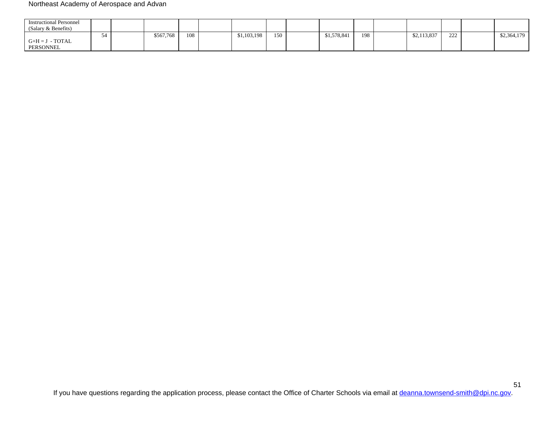#### Northeast Academy of Aerospace and Advan

| <b>Instructional Personnel</b><br>(Salary & Benefits) |  |           |     |             |     |             |     |             |            |             |
|-------------------------------------------------------|--|-----------|-----|-------------|-----|-------------|-----|-------------|------------|-------------|
|                                                       |  | \$567,768 | 108 | \$1,103,198 | 150 | \$1,578,841 | 198 | \$2,113,837 | 222<br>∠∠∠ | \$2,364,179 |
| $G+H=J$ - TOTAL<br>PERSONNEL                          |  |           |     |             |     |             |     |             |            |             |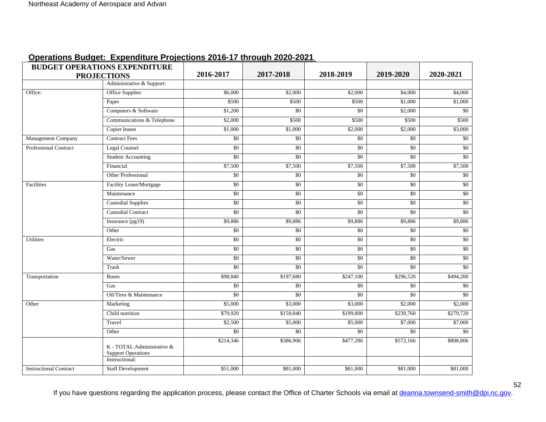<span id="page-51-0"></span>

| <b>BUDGET OPERATIONS EXPENDITURE</b> |                                                                           |                 |                       |                 |                 |           |
|--------------------------------------|---------------------------------------------------------------------------|-----------------|-----------------------|-----------------|-----------------|-----------|
| <b>PROJECTIONS</b>                   |                                                                           | 2016-2017       | 2017-2018             | 2018-2019       | 2019-2020       | 2020-2021 |
|                                      | Administrative & Support:                                                 |                 |                       |                 |                 |           |
| Office:                              | <b>Office Supplies</b>                                                    | \$6,000         | \$2,000               | \$2,000         | \$4,000         | \$4,000   |
|                                      | Paper                                                                     | \$500           | \$500                 | \$500           | \$1,000         | \$1,000   |
|                                      | Computers & Software                                                      | \$1,200         | $\overline{50}$       | \$0             | \$2,000         | \$0       |
|                                      | Communications & Telephone                                                | \$2,000         | \$500                 | \$500           | \$500           | \$500     |
|                                      | Copier leases                                                             | \$1,000         | \$1,000               | \$2,000         | \$2,000         | \$3,000   |
| Management Company                   | <b>Contract Fees</b>                                                      | \$0             | \$0                   | \$0             | \$0             | \$0       |
| <b>Professional Contract</b>         | <b>Legal Counsel</b>                                                      | \$0             | $\overline{50}$       | $\overline{50}$ | $\overline{50}$ | $\$0$     |
|                                      | <b>Student Accounting</b>                                                 | $\overline{50}$ | \$0                   | $\overline{50}$ | \$0             | \$0       |
|                                      | Financial                                                                 | \$7,500         | \$7,500               | \$7,500         | \$7,500         | \$7,500   |
|                                      | Other Professional                                                        | \$0             | \$0                   | \$0             | \$0             | \$0       |
| Facilities                           | Facility Lease/Mortgage                                                   | $\overline{50}$ | $\overline{50}$       | \$0             | $\overline{50}$ | \$0       |
|                                      | Maintenance                                                               | \$0             | $\overline{50}$       | $\overline{50}$ | $\overline{50}$ | $\$0$     |
|                                      | <b>Custodial Supplies</b>                                                 | $\overline{50}$ | $\overline{50}$       | $\overline{50}$ | \$0             | \$0       |
|                                      | <b>Custodial Contract</b>                                                 | \$0             | $\overline{50}$       | \$0             | $\overline{50}$ | $\$0$     |
|                                      | Insurance (pg19)                                                          | \$9,886         | \$9,886               | \$9,886         | \$9,886         | \$9,886   |
|                                      | Other                                                                     | \$0             | $\overline{50}$       | $\overline{50}$ | $\overline{50}$ | \$0       |
| <b>Utilities</b>                     | Electric                                                                  | \$0             | \$0                   | \$0             | $\overline{50}$ | $\$0$     |
|                                      | Gas                                                                       | $\overline{50}$ | \$0                   | \$0             | \$0             | \$0       |
|                                      | Water/Sewer                                                               | \$0             | $\overline{50}$       | \$0             | $\overline{50}$ | $\$0$     |
|                                      | Trash                                                                     | \$0             | \$0                   | \$0             | \$0             | \$0       |
| Transportation                       | <b>Buses</b>                                                              | \$98,840        | \$197,680             | \$247,100       | \$296,520       | \$494,200 |
|                                      | Gas                                                                       | \$0             | \$0                   | \$0             | \$0             | \$0       |
|                                      | Oil/Tires & Maintenance                                                   | $\overline{50}$ | \$0                   | \$0             | \$0             | \$0       |
| Other                                | Marketing                                                                 | \$5,000         | $\frac{1}{1}$ \$3,000 | \$3,000         | $\sqrt{$2,000}$ | \$2,000   |
|                                      | Child nutrition                                                           | \$79,920        | \$159,840             | \$199,800       | \$239,760       | \$279,720 |
|                                      | Travel                                                                    | \$2,500         | \$5,000               | \$5,000         | \$7,000         | \$7,000   |
|                                      | Other                                                                     | \$0             | \$0                   | \$0             | \$0             | \$0       |
|                                      | K - TOTAL Administrative &<br><b>Support Operations</b><br>Instructional: | \$214,346       | \$386,906             | \$477,286       | \$572,166       | \$808,806 |
| <b>Instructional Contract</b>        | <b>Staff Development</b>                                                  | \$51,000        | \$81,000              | \$81,000        | \$81,000        | \$81,000  |
|                                      |                                                                           |                 |                       |                 |                 |           |

## **Operations Budget: Expenditure Projections 2016-17 through 2020-2021**

If you have questions regarding the application process, please contact the Office of Charter Schools via email at [deanna.townsend-smith@dpi.nc.gov](mailto:officeofcharterschools@dpi.nc.gov).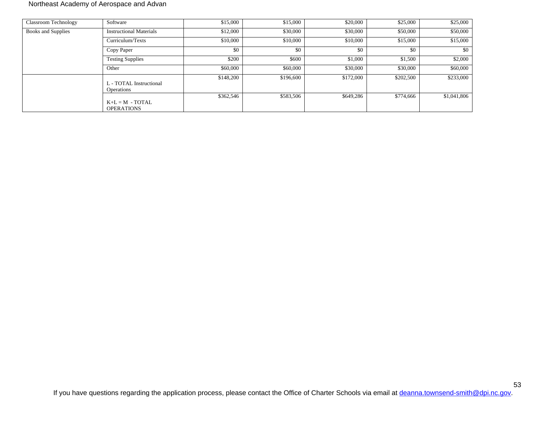#### Northeast Academy of Aerospace and Advan

| <b>Classroom Technology</b> | Software                                     | \$15,000  | \$15,000  | \$20,000  | \$25,000  | \$25,000    |
|-----------------------------|----------------------------------------------|-----------|-----------|-----------|-----------|-------------|
| <b>Books and Supplies</b>   | <b>Instructional Materials</b>               | \$12,000  | \$30,000  | \$30,000  | \$50,000  | \$50,000    |
|                             | Curriculum/Texts                             | \$10,000  | \$10,000  | \$10,000  | \$15,000  | \$15,000    |
|                             | Copy Paper                                   | \$0       | \$0       | \$0       | \$0       | \$0         |
|                             | <b>Testing Supplies</b>                      | \$200     | \$600     | \$1,000   | \$1,500   | \$2,000     |
|                             | Other                                        | \$60,000  | \$60,000  | \$30,000  | \$30,000  | \$60,000    |
|                             | L - TOTAL Instructional<br><b>Operations</b> | \$148,200 | \$196,600 | \$172,000 | \$202,500 | \$233,000   |
|                             | $K+L = M - TOTAL$<br><b>OPERATIONS</b>       | \$362,546 | \$583,506 | \$649,286 | \$774,666 | \$1,041,806 |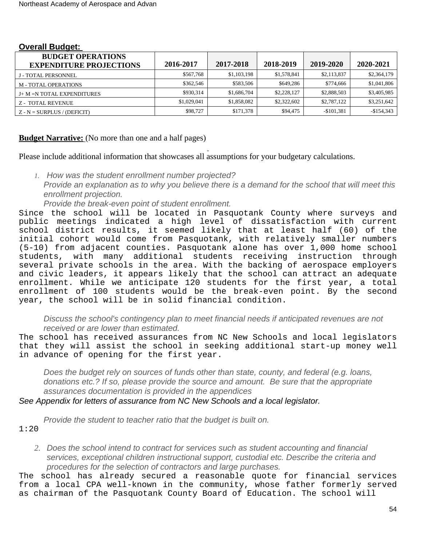| <b>BUDGET OPERATIONS</b><br><b>EXPENDITURE PROJECTIONS</b> | 2016-2017   | 2017-2018   | 2018-2019   | 2019-2020   | 2020-2021   |
|------------------------------------------------------------|-------------|-------------|-------------|-------------|-------------|
| J - TOTAL PERSONNEL                                        | \$567.768   | \$1,103,198 | \$1,578,841 | \$2,113,837 | \$2,364,179 |
| M - TOTAL OPERATIONS                                       | \$362.546   | \$583,506   | \$649,286   | \$774,666   | \$1,041,806 |
| J+ M =N TOTAL EXPENDITURES                                 | \$930.314   | \$1,686,704 | \$2,228,127 | \$2,888,503 | \$3,405,985 |
| <b>Z - TOTAL REVENUE</b>                                   | \$1,029,041 | \$1,858,082 | \$2,322,602 | \$2,787,122 | \$3,251,642 |
| $Z - N = SURPLUS / (DEFICIT)$                              | \$98,727    | \$171,378   | \$94,475    | $-$101,381$ | $-$154,343$ |

#### <span id="page-53-0"></span>**Overall Budget:**

## <span id="page-53-1"></span>**Budget Narrative:** (No more than one and a half pages)

Please include additional information that showcases all assumptions for your budgetary calculations.

*1.* How was the student enrollment number projected? Provide an explanation as to why you believe there is a demand for the school that will meet this enrollment projection.

Provide the break-even point of student enrollment.

Since the school will be located in Pasquotank County where surveys and public meetings indicated a high level of dissatisfaction with current school district results, it seemed likely that at least half (60) of the initial cohort would come from Pasquotank, with relatively smaller numbers (5-10) from adjacent counties. Pasquotank alone has over 1,000 home school students, with many additional students receiving instruction through several private schools in the area. With the backing of aerospace employers and civic leaders, it appears likely that the school can attract an adequate enrollment. While we anticipate 120 students for the first year, a total enrollment of 100 students would be the break-even point. By the second year, the school will be in solid financial condition.

Discuss the school's contingency plan to meet financial needs if anticipated revenues are not received or are lower than estimated.

The school has received assurances from NC New Schools and local legislators that they will assist the school in seeking additional start-up money well in advance of opening for the first year.

Does the budget rely on sources of funds other than state, county, and federal (e.g. loans, donations etc.? If so, please provide the source and amount. Be sure that the appropriate assurances documentation is provided in the appendices

See Appendix for letters of assurance from NC New Schools and a local legislator.

Provide the student to teacher ratio that the budget is built on. 1:20

*2.* Does the school intend to contract for services such as student accounting and financial services, exceptional children instructional support, custodial etc. Describe the criteria and procedures for the selection of contractors and large purchases.

The school has already secured a reasonable quote for financial services from a local CPA well-known in the community, whose father formerly served as chairman of the Pasquotank County Board of Education. The school will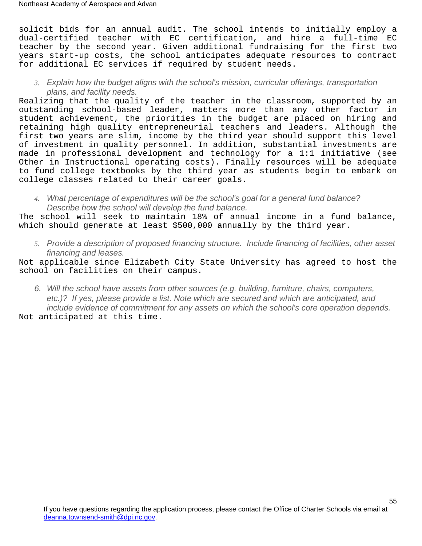solicit bids for an annual audit. The school intends to initially employ a dual-certified teacher with EC certification, and hire a full-time EC teacher by the second year. Given additional fundraising for the first two years start-up costs, the school anticipates adequate resources to contract for additional EC services if required by student needs.

*3.* Explain how the budget aligns with the school's mission, curricular offerings, transportation plans, and facility needs.

Realizing that the quality of the teacher in the classroom, supported by an outstanding school-based leader, matters more than any other factor in student achievement, the priorities in the budget are placed on hiring and retaining high quality entrepreneurial teachers and leaders. Although the first two years are slim, income by the third year should support this level of investment in quality personnel. In addition, substantial investments are made in professional development and technology for a 1:1 initiative (see Other in Instructional operating costs). Finally resources will be adequate to fund college textbooks by the third year as students begin to embark on college classes related to their career goals.

*4.* What percentage of expenditures will be the school's goal for a general fund balance? Describe how the school will develop the fund balance.

The school will seek to maintain 18% of annual income in a fund balance, which should generate at least \$500,000 annually by the third year.

*5.* Provide a description of proposed financing structure. Include financing of facilities, other asset financing and leases.

Not applicable since Elizabeth City State University has agreed to host the school on facilities on their campus.

6. Will the school have assets from other sources (e.g. building, furniture, chairs, computers, etc.)? If yes, please provide a list. Note which are secured and which are anticipated, and include evidence of commitment for any assets on which the school's core operation depends. Not anticipated at this time.

If you have questions regarding the application process, please contact the Office of Charter Schools via email at [deanna.townsend-smith@dpi.nc.gov](mailto:officeofcharterschools@dpi.nc.gov).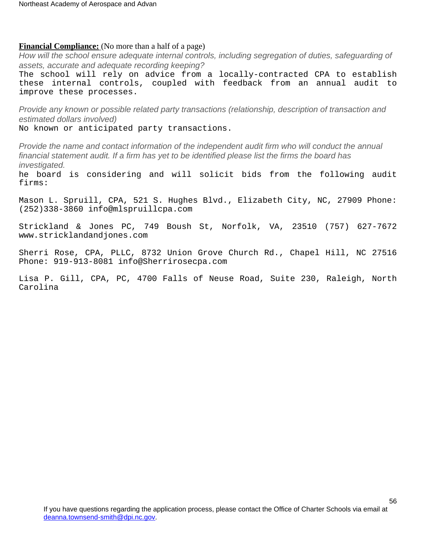#### <span id="page-55-0"></span>**Financial Compliance:** (No more than a half of a page)

How will the school ensure adequate internal controls, including segregation of duties, safeguarding of assets, accurate and adequate recording keeping?

The school will rely on advice from a locally-contracted CPA to establish these internal controls, coupled with feedback from an annual audit to improve these processes.

Provide any known or possible related party transactions (relationship, description of transaction and estimated dollars involved)

No known or anticipated party transactions.

Provide the name and contact information of the independent audit firm who will conduct the annual financial statement audit. If a firm has yet to be identified please list the firms the board has investigated.

he board is considering and will solicit bids from the following audit firms:

Mason L. Spruill, CPA, 521 S. Hughes Blvd., Elizabeth City, NC, 27909 Phone: (252)338-3860 info@mlspruillcpa.com

Strickland & Jones PC, 749 Boush St, Norfolk, VA, 23510 (757) 627-7672 www.stricklandandjones.com

Sherri Rose, CPA, PLLC, 8732 Union Grove Church Rd., Chapel Hill, NC 27516 Phone: 919-913-8081 info@Sherrirosecpa.com

Lisa P. Gill, CPA, PC, 4700 Falls of Neuse Road, Suite 230, Raleigh, North Carolina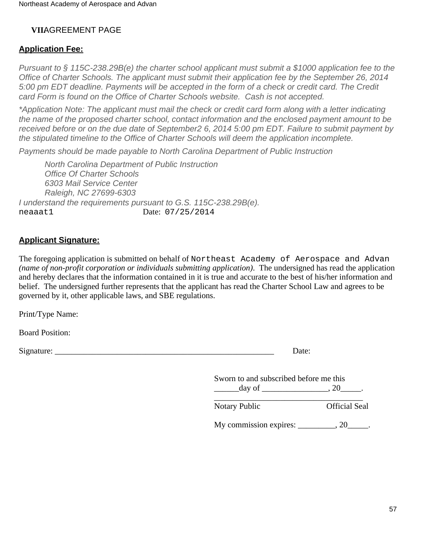# **VIIAGREEMENT PAGE**

# <span id="page-56-0"></span>**Application Fee:**

Pursuant to § 115C-238.29B(e) the charter school applicant must submit a \$1000 application fee to the Office of Charter Schools. The applicant must submit their application fee by the September 26, 2014 5:00 pm EDT deadline. Payments will be accepted in the form of a check or credit card. The Credit card Form is found on the Office of Charter Schools website. Cash is not accepted.

\*Application Note: The applicant must mail the check or credit card form along with a letter indicating the name of the proposed charter school, contact information and the enclosed payment amount to be received before or on the due date of September2 6, 2014 5:00 pm EDT. Failure to submit payment by the stipulated timeline to the Office of Charter Schools will deem the application incomplete.

Payments should be made payable to North Carolina Department of Public Instruction

North Carolina Department of Public Instruction Office Of Charter Schools 6303 Mail Service Center Raleigh, NC 27699-6303 I understand the requirements pursuant to G.S. 115C-238.29B(e). neaaat1 Date: 07/25/2014

# <span id="page-56-1"></span>**Applicant Signature:**

The foregoing application is submitted on behalf of Northeast Academy of Aerospace and Advan *(name of non-profit corporation or individuals submitting application)*. The undersigned has read the application and hereby declares that the information contained in it is true and accurate to the best of his/her information and belief. The undersigned further represents that the applicant has read the Charter School Law and agrees to be governed by it, other applicable laws, and SBE regulations.

Print/Type Name:

Board Position:

Signature: \_\_\_\_\_\_\_\_\_\_\_\_\_\_\_\_\_\_\_\_\_\_\_\_\_\_\_\_\_\_\_\_\_\_\_\_\_\_\_\_\_\_\_\_\_\_\_\_\_\_\_\_\_ Date:

Sworn to and subscribed before me this  $\frac{\text{day of}}{\text{day of}}$ , 20

\_\_\_\_\_\_\_\_\_\_\_\_\_\_\_\_\_\_\_\_\_\_\_\_\_\_\_\_\_\_\_\_\_\_\_\_ Notary Public **Official Seal** 

My commission expires:  $\qquad \qquad .20$ .